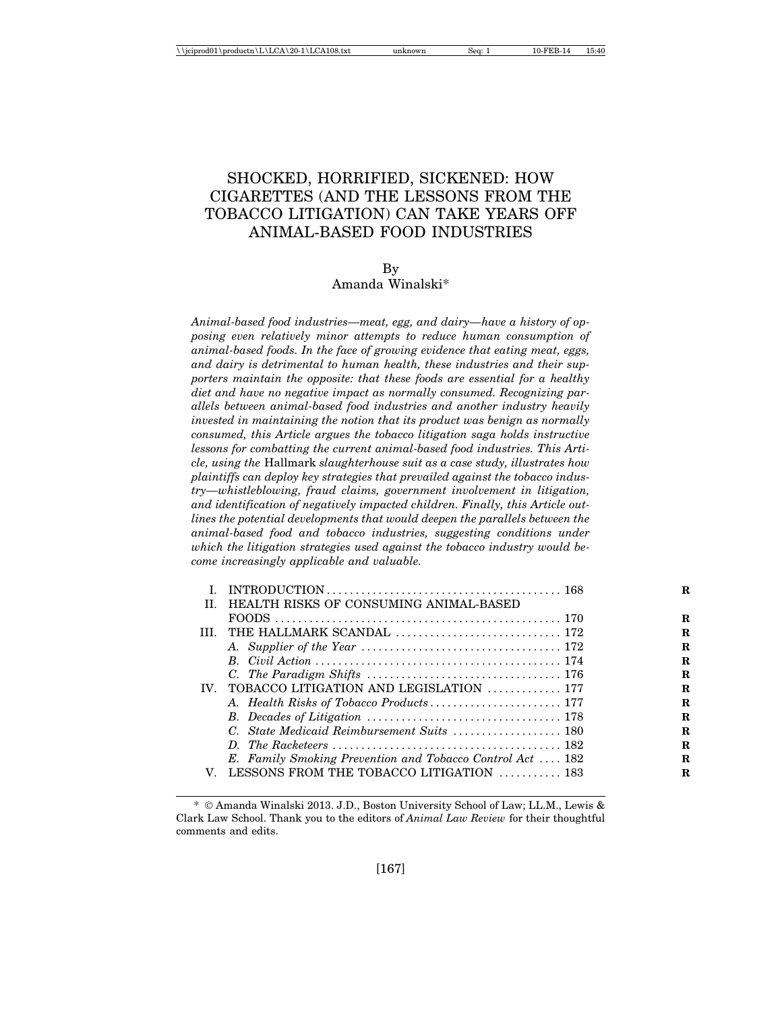# SHOCKED, HORRIFIED, SICKENED: HOW CIGARETTES (AND THE LESSONS FROM THE TOBACCO LITIGATION) CAN TAKE YEARS OFF ANIMAL-BASED FOOD INDUSTRIES

By Amanda Winalski\*

*Animal-based food industries—meat, egg, and dairy—have a history of opposing even relatively minor attempts to reduce human consumption of animal-based foods. In the face of growing evidence that eating meat, eggs, and dairy is detrimental to human health, these industries and their supporters maintain the opposite: that these foods are essential for a healthy diet and have no negative impact as normally consumed. Recognizing parallels between animal-based food industries and another industry heavily invested in maintaining the notion that its product was benign as normally consumed, this Article argues the tobacco litigation saga holds instructive lessons for combatting the current animal-based food industries. This Article, using the* Hallmark *slaughterhouse suit as a case study, illustrates how plaintiffs can deploy key strategies that prevailed against the tobacco industry—whistleblowing, fraud claims, government involvement in litigation, and identification of negatively impacted children. Finally, this Article outlines the potential developments that would deepen the parallels between the animal-based food and tobacco industries, suggesting conditions under which the litigation strategies used against the tobacco industry would become increasingly applicable and valuable.*

| T   | HEALTH RISKS OF CONSUMING ANIMAL-BASED                    |  |  |  |
|-----|-----------------------------------------------------------|--|--|--|
|     | FOODS.                                                    |  |  |  |
| TH. |                                                           |  |  |  |
|     |                                                           |  |  |  |
|     |                                                           |  |  |  |
|     |                                                           |  |  |  |
|     | IV. TOBACCO LITIGATION AND LEGISLATION  177               |  |  |  |
|     | A. Health Risks of Tobacco Products 177                   |  |  |  |
|     |                                                           |  |  |  |
|     |                                                           |  |  |  |
|     |                                                           |  |  |  |
|     | E. Family Smoking Prevention and Tobacco Control Act  182 |  |  |  |
| V   | LESSONS FROM THE TOBACCO LITIGATION  183                  |  |  |  |
|     |                                                           |  |  |  |

<sup>\*</sup> © Amanda Winalski 2013. J.D., Boston University School of Law; LL.M., Lewis & Clark Law School. Thank you to the editors of *Animal Law Review* for their thoughtful comments and edits.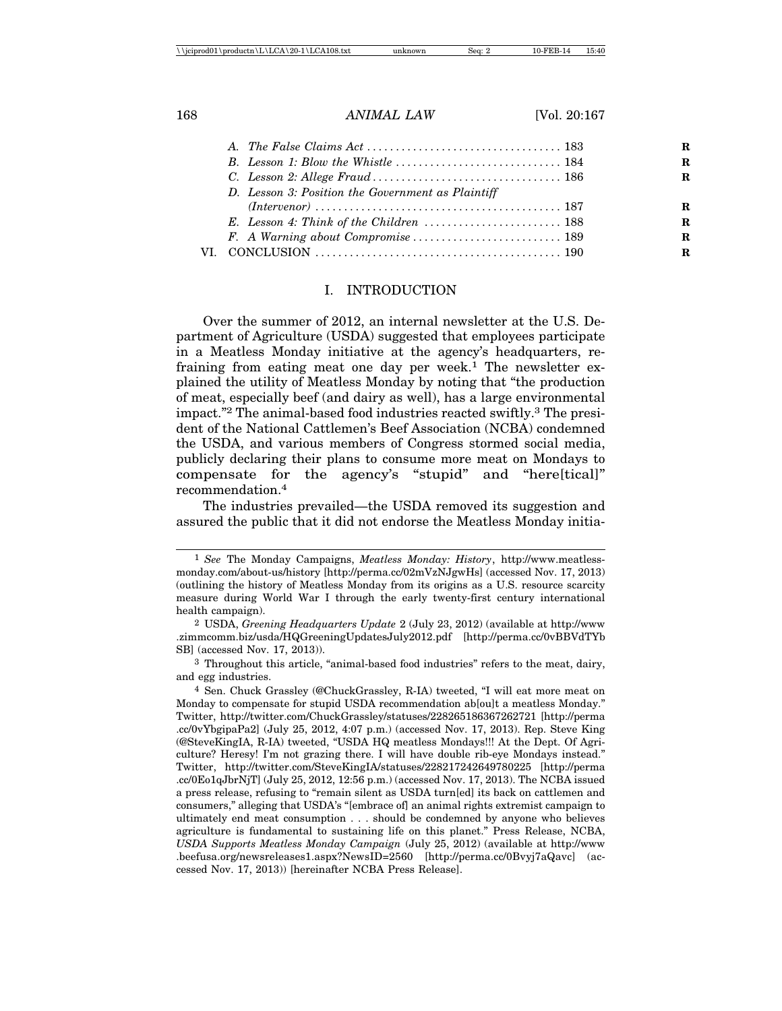|  | D. Lesson 3: Position the Government as Plaintiff                                         |  |
|--|-------------------------------------------------------------------------------------------|--|
|  |                                                                                           |  |
|  | E. Lesson 4: Think of the Children $\ldots \ldots \ldots \ldots \ldots \ldots \ldots 188$ |  |
|  |                                                                                           |  |
|  |                                                                                           |  |
|  |                                                                                           |  |

### I. INTRODUCTION

Over the summer of 2012, an internal newsletter at the U.S. Department of Agriculture (USDA) suggested that employees participate in a Meatless Monday initiative at the agency's headquarters, refraining from eating meat one day per week.<sup>1</sup> The newsletter explained the utility of Meatless Monday by noting that "the production of meat, especially beef (and dairy as well), has a large environmental impact."2 The animal-based food industries reacted swiftly.3 The president of the National Cattlemen's Beef Association (NCBA) condemned the USDA, and various members of Congress stormed social media, publicly declaring their plans to consume more meat on Mondays to compensate for the agency's "stupid" and "here[tical]" recommendation.4

The industries prevailed—the USDA removed its suggestion and assured the public that it did not endorse the Meatless Monday initia-

<sup>1</sup> *See* The Monday Campaigns, *Meatless Monday: History*, http://www.meatlessmonday.com/about-us/history [http://perma.cc/02mVzNJgwHs] (accessed Nov. 17, 2013) (outlining the history of Meatless Monday from its origins as a U.S. resource scarcity measure during World War I through the early twenty-first century international health campaign).

<sup>2</sup> USDA, *Greening Headquarters Update* 2 (July 23, 2012) (available at http://www .zimmcomm.biz/usda/HQGreeningUpdatesJuly2012.pdf [http://perma.cc/0vBBVdTYb SB] (accessed Nov. 17, 2013)).

<sup>3</sup> Throughout this article, "animal-based food industries" refers to the meat, dairy, and egg industries.

<sup>4</sup> Sen. Chuck Grassley (@ChuckGrassley, R-IA) tweeted, "I will eat more meat on Monday to compensate for stupid USDA recommendation ab[ou]t a meatless Monday." Twitter, http://twitter.com/ChuckGrassley/statuses/228265186367262721 [http://perma .cc/0vYbgipaPa2] (July 25, 2012, 4:07 p.m.) (accessed Nov. 17, 2013). Rep. Steve King (@SteveKingIA, R-IA) tweeted, "USDA HQ meatless Mondays!!! At the Dept. Of Agriculture? Heresy! I'm not grazing there. I will have double rib-eye Mondays instead." Twitter, http://twitter.com/SteveKingIA/statuses/228217242649780225 [http://perma .cc/0Eo1qJbrNjT] (July 25, 2012, 12:56 p.m.) (accessed Nov. 17, 2013). The NCBA issued a press release, refusing to "remain silent as USDA turn[ed] its back on cattlemen and consumers," alleging that USDA's "[embrace of] an animal rights extremist campaign to ultimately end meat consumption . . . should be condemned by anyone who believes agriculture is fundamental to sustaining life on this planet." Press Release, NCBA, *USDA Supports Meatless Monday Campaign* (July 25, 2012) (available at http://www .beefusa.org/newsreleases1.aspx?NewsID=2560 [http://perma.cc/0Bvyj7aQavc] (accessed Nov. 17, 2013)) [hereinafter NCBA Press Release].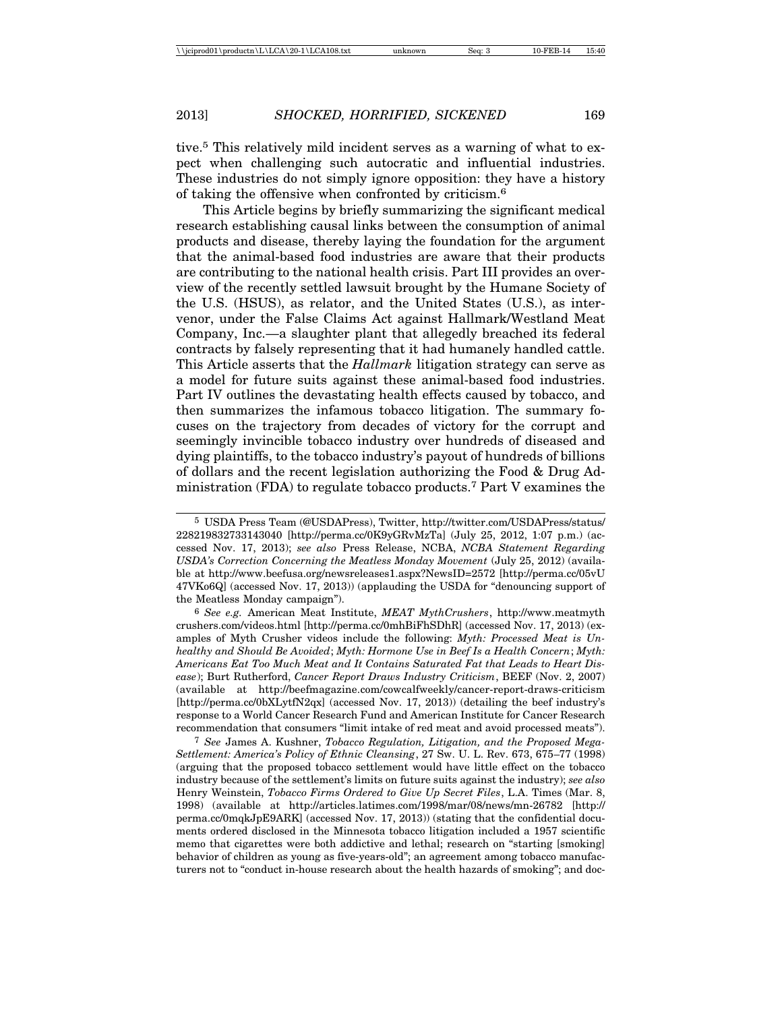tive.5 This relatively mild incident serves as a warning of what to expect when challenging such autocratic and influential industries. These industries do not simply ignore opposition: they have a history of taking the offensive when confronted by criticism.6

This Article begins by briefly summarizing the significant medical research establishing causal links between the consumption of animal products and disease, thereby laying the foundation for the argument that the animal-based food industries are aware that their products are contributing to the national health crisis. Part III provides an overview of the recently settled lawsuit brought by the Humane Society of the U.S. (HSUS), as relator, and the United States (U.S.), as intervenor, under the False Claims Act against Hallmark/Westland Meat Company, Inc.—a slaughter plant that allegedly breached its federal contracts by falsely representing that it had humanely handled cattle. This Article asserts that the *Hallmark* litigation strategy can serve as a model for future suits against these animal-based food industries. Part IV outlines the devastating health effects caused by tobacco, and then summarizes the infamous tobacco litigation. The summary focuses on the trajectory from decades of victory for the corrupt and seemingly invincible tobacco industry over hundreds of diseased and dying plaintiffs, to the tobacco industry's payout of hundreds of billions of dollars and the recent legislation authorizing the Food & Drug Administration (FDA) to regulate tobacco products.7 Part V examines the

5 USDA Press Team (@USDAPress), Twitter, http://twitter.com/USDAPress/status/ 228219832733143040 [http://perma.cc/0K9yGRvMzTa] (July 25, 2012, 1:07 p.m.) (accessed Nov. 17, 2013); *see also* Press Release, NCBA, *NCBA Statement Regarding USDA's Correction Concerning the Meatless Monday Movement* (July 25, 2012) (available at http://www.beefusa.org/newsreleases1.aspx?NewsID=2572 [http://perma.cc/05vU 47VKo6Q] (accessed Nov. 17, 2013)) (applauding the USDA for "denouncing support of the Meatless Monday campaign").

6 *See e.g.* American Meat Institute, *MEAT MythCrushers*, http://www.meatmyth crushers.com/videos.html [http://perma.cc/0mhBiFhSDhR] (accessed Nov. 17, 2013) (examples of Myth Crusher videos include the following: *Myth: Processed Meat is Unhealthy and Should Be Avoided*; *Myth: Hormone Use in Beef Is a Health Concern*; *Myth: Americans Eat Too Much Meat and It Contains Saturated Fat that Leads to Heart Disease*); Burt Rutherford, *Cancer Report Draws Industry Criticism*, BEEF (Nov. 2, 2007) (available at http://beefmagazine.com/cowcalfweekly/cancer-report-draws-criticism [http://perma.cc/0bXLytfN2qx] (accessed Nov. 17, 2013)) (detailing the beef industry's response to a World Cancer Research Fund and American Institute for Cancer Research recommendation that consumers "limit intake of red meat and avoid processed meats").

7 *See* James A. Kushner, *Tobacco Regulation, Litigation, and the Proposed Mega-Settlement: America's Policy of Ethnic Cleansing*, 27 Sw. U. L. Rev. 673, 675–77 (1998) (arguing that the proposed tobacco settlement would have little effect on the tobacco industry because of the settlement's limits on future suits against the industry); *see also* Henry Weinstein, *Tobacco Firms Ordered to Give Up Secret Files*, L.A. Times (Mar. 8, 1998) (available at http://articles.latimes.com/1998/mar/08/news/mn-26782 [http:// perma.cc/0mqkJpE9ARK] (accessed Nov. 17, 2013)) (stating that the confidential documents ordered disclosed in the Minnesota tobacco litigation included a 1957 scientific memo that cigarettes were both addictive and lethal; research on "starting [smoking] behavior of children as young as five-years-old"; an agreement among tobacco manufacturers not to "conduct in-house research about the health hazards of smoking"; and doc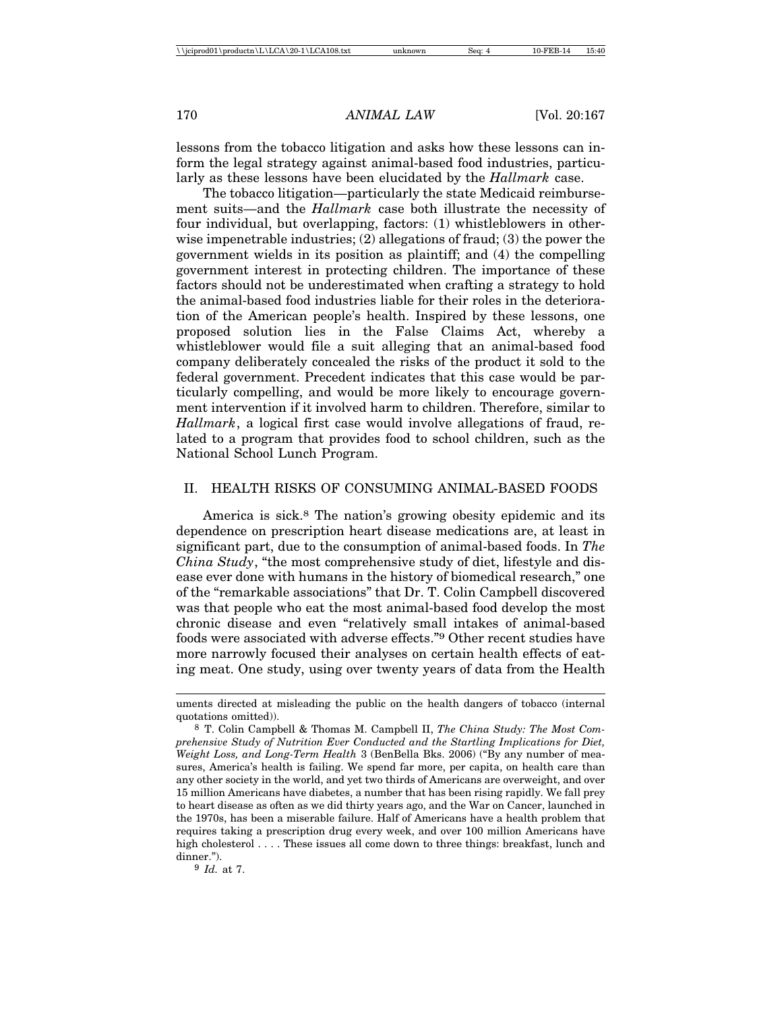lessons from the tobacco litigation and asks how these lessons can inform the legal strategy against animal-based food industries, particularly as these lessons have been elucidated by the *Hallmark* case.

The tobacco litigation—particularly the state Medicaid reimbursement suits—and the *Hallmark* case both illustrate the necessity of four individual, but overlapping, factors: (1) whistleblowers in otherwise impenetrable industries; (2) allegations of fraud; (3) the power the government wields in its position as plaintiff; and (4) the compelling government interest in protecting children. The importance of these factors should not be underestimated when crafting a strategy to hold the animal-based food industries liable for their roles in the deterioration of the American people's health. Inspired by these lessons, one proposed solution lies in the False Claims Act, whereby a whistleblower would file a suit alleging that an animal-based food company deliberately concealed the risks of the product it sold to the federal government. Precedent indicates that this case would be particularly compelling, and would be more likely to encourage government intervention if it involved harm to children. Therefore, similar to *Hallmark*, a logical first case would involve allegations of fraud, related to a program that provides food to school children, such as the National School Lunch Program.

# II. HEALTH RISKS OF CONSUMING ANIMAL-BASED FOODS

America is sick.<sup>8</sup> The nation's growing obesity epidemic and its dependence on prescription heart disease medications are, at least in significant part, due to the consumption of animal-based foods. In *The China Study*, "the most comprehensive study of diet, lifestyle and disease ever done with humans in the history of biomedical research," one of the "remarkable associations" that Dr. T. Colin Campbell discovered was that people who eat the most animal-based food develop the most chronic disease and even "relatively small intakes of animal-based foods were associated with adverse effects."9 Other recent studies have more narrowly focused their analyses on certain health effects of eating meat. One study, using over twenty years of data from the Health

9 *Id.* at 7.

uments directed at misleading the public on the health dangers of tobacco (internal quotations omitted)).

<sup>8</sup> T. Colin Campbell & Thomas M. Campbell II, *The China Study: The Most Comprehensive Study of Nutrition Ever Conducted and the Startling Implications for Diet, Weight Loss, and Long-Term Health* 3 (BenBella Bks. 2006) ("By any number of measures, America's health is failing. We spend far more, per capita, on health care than any other society in the world, and yet two thirds of Americans are overweight, and over 15 million Americans have diabetes, a number that has been rising rapidly. We fall prey to heart disease as often as we did thirty years ago, and the War on Cancer, launched in the 1970s, has been a miserable failure. Half of Americans have a health problem that requires taking a prescription drug every week, and over 100 million Americans have high cholesterol . . . . These issues all come down to three things: breakfast, lunch and dinner.").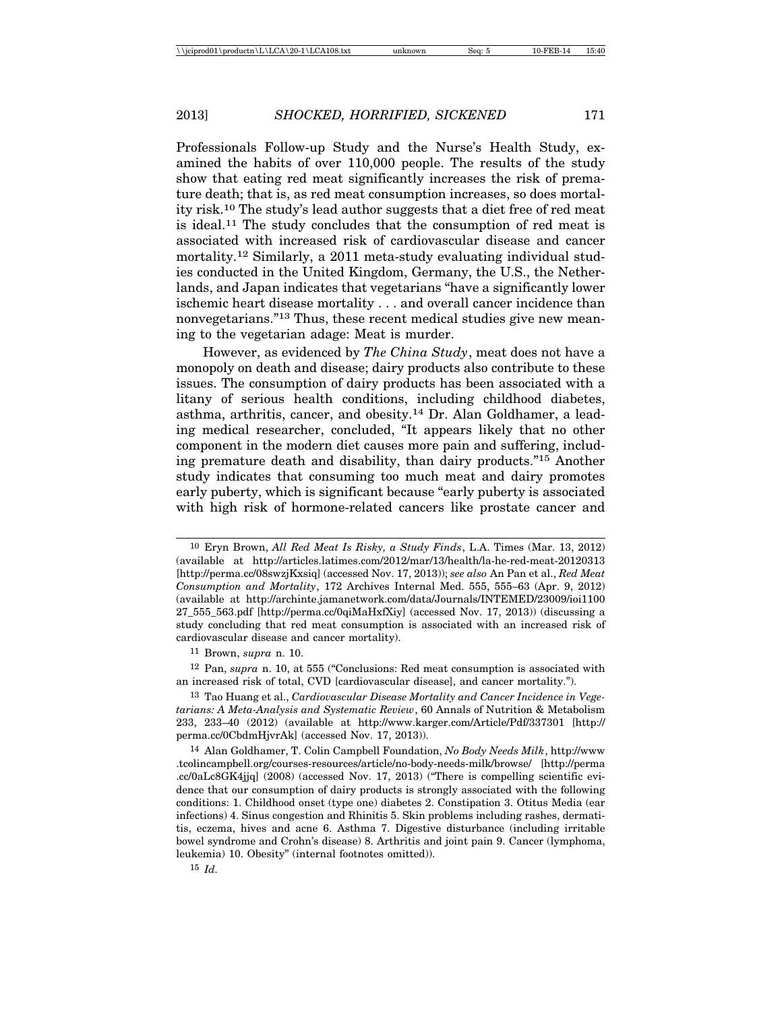Professionals Follow-up Study and the Nurse's Health Study, examined the habits of over 110,000 people. The results of the study show that eating red meat significantly increases the risk of premature death; that is, as red meat consumption increases, so does mortality risk.10 The study's lead author suggests that a diet free of red meat is ideal.11 The study concludes that the consumption of red meat is associated with increased risk of cardiovascular disease and cancer mortality.<sup>12</sup> Similarly, a 2011 meta-study evaluating individual studies conducted in the United Kingdom, Germany, the U.S., the Netherlands, and Japan indicates that vegetarians "have a significantly lower ischemic heart disease mortality . . . and overall cancer incidence than nonvegetarians."13 Thus, these recent medical studies give new meaning to the vegetarian adage: Meat is murder.

However, as evidenced by *The China Study*, meat does not have a monopoly on death and disease; dairy products also contribute to these issues. The consumption of dairy products has been associated with a litany of serious health conditions, including childhood diabetes, asthma, arthritis, cancer, and obesity.14 Dr. Alan Goldhamer, a leading medical researcher, concluded, "It appears likely that no other component in the modern diet causes more pain and suffering, including premature death and disability, than dairy products."15 Another study indicates that consuming too much meat and dairy promotes early puberty, which is significant because "early puberty is associated with high risk of hormone-related cancers like prostate cancer and

12 Pan, *supra* n. 10, at 555 ("Conclusions: Red meat consumption is associated with an increased risk of total, CVD [cardiovascular disease], and cancer mortality.").

<sup>10</sup> Eryn Brown, *All Red Meat Is Risky, a Study Finds*, L.A. Times (Mar. 13, 2012) (available at http://articles.latimes.com/2012/mar/13/health/la-he-red-meat-20120313 [http://perma.cc/08swzjKxsiq] (accessed Nov. 17, 2013)); *see also* An Pan et al., *Red Meat Consumption and Mortality*, 172 Archives Internal Med. 555, 555–63 (Apr. 9, 2012) (available at http://archinte.jamanetwork.com/data/Journals/INTEMED/23009/ioi1100 27\_555\_563.pdf [http://perma.cc/0qiMaHxfXiy] (accessed Nov. 17, 2013)) (discussing a study concluding that red meat consumption is associated with an increased risk of cardiovascular disease and cancer mortality).

<sup>11</sup> Brown, *supra* n. 10.

<sup>13</sup> Tao Huang et al., *Cardiovascular Disease Mortality and Cancer Incidence in Vegetarians: A Meta-Analysis and Systematic Review*, 60 Annals of Nutrition & Metabolism 233, 233–40 (2012) (available at http://www.karger.com/Article/Pdf/337301 [http:// perma.cc/0CbdmHjvrAk] (accessed Nov. 17, 2013)).

<sup>14</sup> Alan Goldhamer, T. Colin Campbell Foundation, *No Body Needs Milk*, http://www .tcolincampbell.org/courses-resources/article/no-body-needs-milk/browse/ [http://perma .cc/0aLc8GK4jjq] (2008) (accessed Nov. 17, 2013) ("There is compelling scientific evidence that our consumption of dairy products is strongly associated with the following conditions: 1. Childhood onset (type one) diabetes 2. Constipation 3. Otitus Media (ear infections) 4. Sinus congestion and Rhinitis 5. Skin problems including rashes, dermatitis, eczema, hives and acne 6. Asthma 7. Digestive disturbance (including irritable bowel syndrome and Crohn's disease) 8. Arthritis and joint pain 9. Cancer (lymphoma, leukemia) 10. Obesity" (internal footnotes omitted)).

<sup>15</sup> *Id.*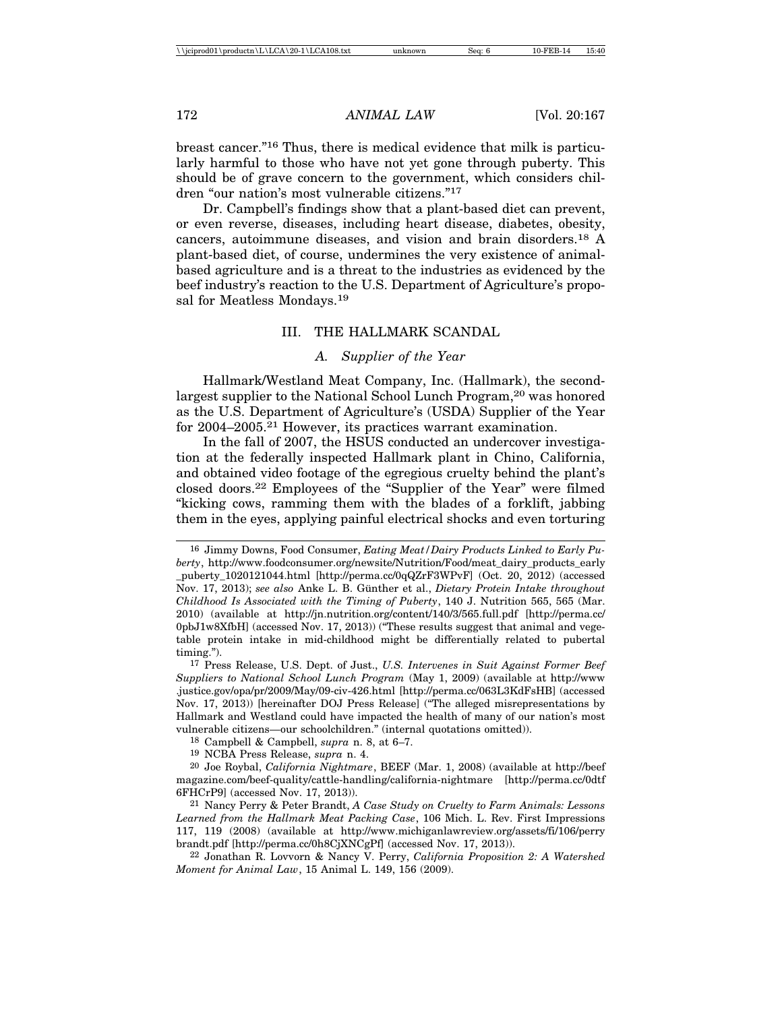breast cancer."16 Thus, there is medical evidence that milk is particularly harmful to those who have not yet gone through puberty. This should be of grave concern to the government, which considers children "our nation's most vulnerable citizens."17

Dr. Campbell's findings show that a plant-based diet can prevent, or even reverse, diseases, including heart disease, diabetes, obesity, cancers, autoimmune diseases, and vision and brain disorders.18 A plant-based diet, of course, undermines the very existence of animalbased agriculture and is a threat to the industries as evidenced by the beef industry's reaction to the U.S. Department of Agriculture's proposal for Meatless Mondays.19

# III. THE HALLMARK SCANDAL

# *A. Supplier of the Year*

Hallmark/Westland Meat Company, Inc. (Hallmark), the secondlargest supplier to the National School Lunch Program,<sup>20</sup> was honored as the U.S. Department of Agriculture's (USDA) Supplier of the Year for 2004–2005.21 However, its practices warrant examination.

In the fall of 2007, the HSUS conducted an undercover investigation at the federally inspected Hallmark plant in Chino, California, and obtained video footage of the egregious cruelty behind the plant's closed doors.22 Employees of the "Supplier of the Year" were filmed "kicking cows, ramming them with the blades of a forklift, jabbing them in the eyes, applying painful electrical shocks and even torturing

<sup>16</sup> Jimmy Downs, Food Consumer, *Eating Meat/Dairy Products Linked to Early Puberty*, http://www.foodconsumer.org/newsite/Nutrition/Food/meat\_dairy\_products\_early \_puberty\_1020121044.html [http://perma.cc/0qQZrF3WPvF] (Oct. 20, 2012) (accessed Nov. 17, 2013); *see also* Anke L. B. G¨unther et al., *Dietary Protein Intake throughout Childhood Is Associated with the Timing of Puberty*, 140 J. Nutrition 565, 565 (Mar. 2010) (available at http://jn.nutrition.org/content/140/3/565.full.pdf [http://perma.cc/ 0pbJ1w8XfbH] (accessed Nov. 17, 2013)) ("These results suggest that animal and vegetable protein intake in mid-childhood might be differentially related to pubertal timing.").

<sup>17</sup> Press Release, U.S. Dept. of Just., *U.S. Intervenes in Suit Against Former Beef Suppliers to National School Lunch Program* (May 1, 2009) (available at http://www .justice.gov/opa/pr/2009/May/09-civ-426.html [http://perma.cc/063L3KdFsHB] (accessed Nov. 17, 2013)) [hereinafter DOJ Press Release] ("The alleged misrepresentations by Hallmark and Westland could have impacted the health of many of our nation's most vulnerable citizens—our schoolchildren." (internal quotations omitted)).

<sup>18</sup> Campbell & Campbell, *supra* n. 8, at 6–7.

<sup>19</sup> NCBA Press Release, *supra* n. 4.

<sup>20</sup> Joe Roybal, *California Nightmare*, BEEF (Mar. 1, 2008) (available at http://beef magazine.com/beef-quality/cattle-handling/california-nightmare [http://perma.cc/0dtf 6FHCrP9] (accessed Nov. 17, 2013)).

<sup>21</sup> Nancy Perry & Peter Brandt, *A Case Study on Cruelty to Farm Animals: Lessons Learned from the Hallmark Meat Packing Case*, 106 Mich. L. Rev. First Impressions 117, 119 (2008) (available at http://www.michiganlawreview.org/assets/fi/106/perry brandt.pdf [http://perma.cc/0h8CjXNCgPf] (accessed Nov. 17, 2013)).

<sup>22</sup> Jonathan R. Lovvorn & Nancy V. Perry, *California Proposition 2: A Watershed Moment for Animal Law*, 15 Animal L. 149, 156 (2009).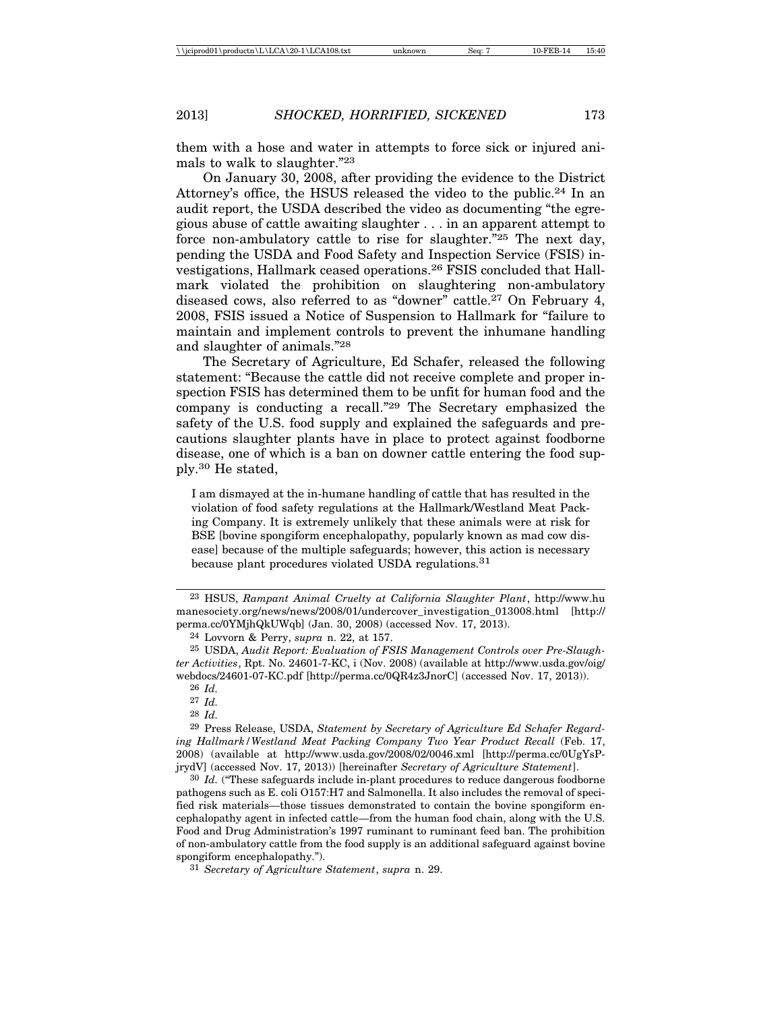them with a hose and water in attempts to force sick or injured animals to walk to slaughter."23

On January 30, 2008, after providing the evidence to the District Attorney's office, the HSUS released the video to the public.24 In an audit report, the USDA described the video as documenting "the egregious abuse of cattle awaiting slaughter . . . in an apparent attempt to force non-ambulatory cattle to rise for slaughter."25 The next day, pending the USDA and Food Safety and Inspection Service (FSIS) investigations, Hallmark ceased operations.26 FSIS concluded that Hallmark violated the prohibition on slaughtering non-ambulatory diseased cows, also referred to as "downer" cattle.27 On February 4, 2008, FSIS issued a Notice of Suspension to Hallmark for "failure to maintain and implement controls to prevent the inhumane handling and slaughter of animals."28

The Secretary of Agriculture, Ed Schafer, released the following statement: "Because the cattle did not receive complete and proper inspection FSIS has determined them to be unfit for human food and the company is conducting a recall."29 The Secretary emphasized the safety of the U.S. food supply and explained the safeguards and precautions slaughter plants have in place to protect against foodborne disease, one of which is a ban on downer cattle entering the food supply.30 He stated,

I am dismayed at the in-humane handling of cattle that has resulted in the violation of food safety regulations at the Hallmark/Westland Meat Packing Company. It is extremely unlikely that these animals were at risk for BSE [bovine spongiform encephalopathy, popularly known as mad cow disease] because of the multiple safeguards; however, this action is necessary because plant procedures violated USDA regulations.<sup>31</sup>

23 HSUS, *Rampant Animal Cruelty at California Slaughter Plant*, http://www.hu manesociety.org/news/news/2008/01/undercover\_investigation\_013008.html [http:// perma.cc/0YMjhQkUWqb] (Jan. 30, 2008) (accessed Nov. 17, 2013).

24 Lovvorn & Perry, *supra* n. 22, at 157.

25 USDA, *Audit Report: Evaluation of FSIS Management Controls over Pre-Slaughter Activities*, Rpt. No. 24601-7-KC, i (Nov. 2008) (available at http://www.usda.gov/oig/ webdocs/24601-07-KC.pdf [http://perma.cc/0QR4z3JnorC] (accessed Nov. 17, 2013)).

26 *Id.*

27 *Id.*

28 *Id.*

29 Press Release, USDA, *Statement by Secretary of Agriculture Ed Schafer Regarding Hallmark/Westland Meat Packing Company Two Year Product Recall* (Feb. 17, 2008) (available at http://www.usda.gov/2008/02/0046.xml [http://perma.cc/0UgYsPjrydV] (accessed Nov. 17, 2013)) [hereinafter *Secretary of Agriculture Statement*].

30 *Id.* ("These safeguards include in-plant procedures to reduce dangerous foodborne pathogens such as E. coli O157:H7 and Salmonella. It also includes the removal of specified risk materials—those tissues demonstrated to contain the bovine spongiform encephalopathy agent in infected cattle—from the human food chain, along with the U.S. Food and Drug Administration's 1997 ruminant to ruminant feed ban. The prohibition of non-ambulatory cattle from the food supply is an additional safeguard against bovine spongiform encephalopathy.").

31 *Secretary of Agriculture Statement*, *supra* n. 29.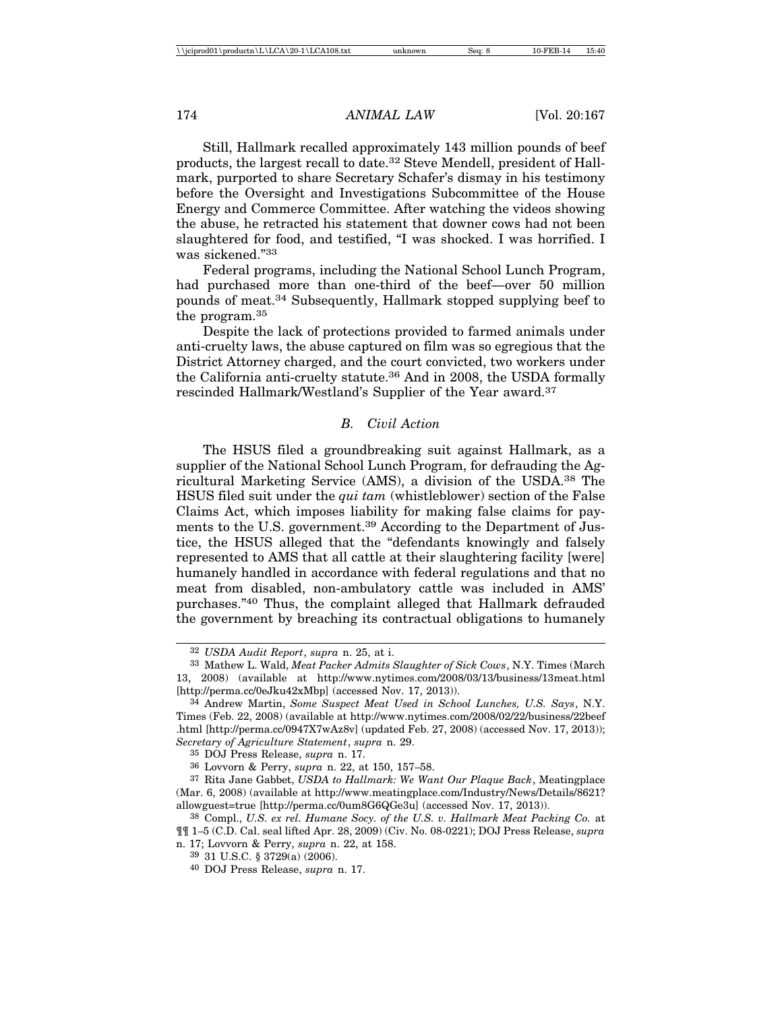Still, Hallmark recalled approximately 143 million pounds of beef products, the largest recall to date.32 Steve Mendell, president of Hallmark, purported to share Secretary Schafer's dismay in his testimony before the Oversight and Investigations Subcommittee of the House Energy and Commerce Committee. After watching the videos showing the abuse, he retracted his statement that downer cows had not been slaughtered for food, and testified, "I was shocked. I was horrified. I was sickened."33

Federal programs, including the National School Lunch Program, had purchased more than one-third of the beef—over 50 million pounds of meat.34 Subsequently, Hallmark stopped supplying beef to the program.35

Despite the lack of protections provided to farmed animals under anti-cruelty laws, the abuse captured on film was so egregious that the District Attorney charged, and the court convicted, two workers under the California anti-cruelty statute.36 And in 2008, the USDA formally rescinded Hallmark/Westland's Supplier of the Year award.37

# *B. Civil Action*

The HSUS filed a groundbreaking suit against Hallmark, as a supplier of the National School Lunch Program, for defrauding the Agricultural Marketing Service (AMS), a division of the USDA.38 The HSUS filed suit under the *qui tam* (whistleblower) section of the False Claims Act, which imposes liability for making false claims for payments to the U.S. government.39 According to the Department of Justice, the HSUS alleged that the "defendants knowingly and falsely represented to AMS that all cattle at their slaughtering facility [were] humanely handled in accordance with federal regulations and that no meat from disabled, non-ambulatory cattle was included in AMS' purchases."40 Thus, the complaint alleged that Hallmark defrauded the government by breaching its contractual obligations to humanely

35 DOJ Press Release, *supra* n. 17.

<sup>32</sup> *USDA Audit Report*, *supra* n. 25, at i.

<sup>33</sup> Mathew L. Wald, *Meat Packer Admits Slaughter of Sick Cows*, N.Y. Times (March 13, 2008) (available at http://www.nytimes.com/2008/03/13/business/13meat.html [http://perma.cc/0eJku42xMbp] (accessed Nov. 17, 2013)).

<sup>34</sup> Andrew Martin, *Some Suspect Meat Used in School Lunches, U.S. Says*, N.Y. Times (Feb. 22, 2008) (available at http://www.nytimes.com/2008/02/22/business/22beef .html [http://perma.cc/0947X7wAz8v] (updated Feb. 27, 2008) (accessed Nov. 17, 2013)); *Secretary of Agriculture Statement*, *supra* n. 29.

<sup>36</sup> Lovvorn & Perry, *supra* n. 22, at 150, 157–58.

<sup>37</sup> Rita Jane Gabbet, *USDA to Hallmark: We Want Our Plaque Back*, Meatingplace (Mar. 6, 2008) (available at http://www.meatingplace.com/Industry/News/Details/8621? allowguest=true [http://perma.cc/0um8G6QGe3u] (accessed Nov. 17, 2013)).

<sup>38</sup> Compl., *U.S. ex rel. Humane Socy. of the U.S. v. Hallmark Meat Packing Co.* at ¶¶ 1–5 (C.D. Cal. seal lifted Apr. 28, 2009) (Civ. No. 08-0221); DOJ Press Release, *supra* n. 17; Lovvorn & Perry, *supra* n. 22, at 158.

<sup>39</sup> 31 U.S.C. § 3729(a) (2006).

<sup>40</sup> DOJ Press Release, *supra* n. 17.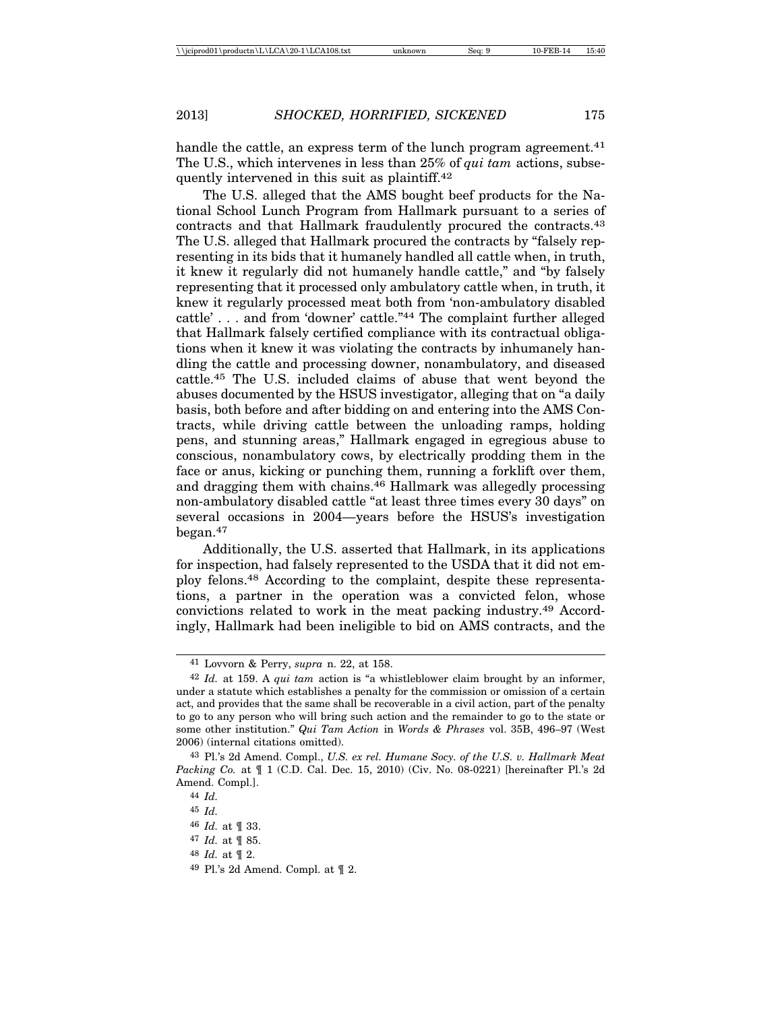handle the cattle, an express term of the lunch program agreement.<sup>41</sup> The U.S., which intervenes in less than 25% of *qui tam* actions, subsequently intervened in this suit as plaintiff.42

The U.S. alleged that the AMS bought beef products for the National School Lunch Program from Hallmark pursuant to a series of contracts and that Hallmark fraudulently procured the contracts.43 The U.S. alleged that Hallmark procured the contracts by "falsely representing in its bids that it humanely handled all cattle when, in truth, it knew it regularly did not humanely handle cattle," and "by falsely representing that it processed only ambulatory cattle when, in truth, it knew it regularly processed meat both from 'non-ambulatory disabled cattle' . . . and from 'downer' cattle."44 The complaint further alleged that Hallmark falsely certified compliance with its contractual obligations when it knew it was violating the contracts by inhumanely handling the cattle and processing downer, nonambulatory, and diseased cattle.45 The U.S. included claims of abuse that went beyond the abuses documented by the HSUS investigator, alleging that on "a daily basis, both before and after bidding on and entering into the AMS Contracts, while driving cattle between the unloading ramps, holding pens, and stunning areas," Hallmark engaged in egregious abuse to conscious, nonambulatory cows, by electrically prodding them in the face or anus, kicking or punching them, running a forklift over them, and dragging them with chains.46 Hallmark was allegedly processing non-ambulatory disabled cattle "at least three times every 30 days" on several occasions in 2004—years before the HSUS's investigation began.47

Additionally, the U.S. asserted that Hallmark, in its applications for inspection, had falsely represented to the USDA that it did not employ felons.48 According to the complaint, despite these representations, a partner in the operation was a convicted felon, whose convictions related to work in the meat packing industry.49 Accordingly, Hallmark had been ineligible to bid on AMS contracts, and the

48 *Id.* at ¶ 2.

<sup>41</sup> Lovvorn & Perry, *supra* n. 22, at 158.

<sup>42</sup> *Id.* at 159. A *qui tam* action is "a whistleblower claim brought by an informer, under a statute which establishes a penalty for the commission or omission of a certain act, and provides that the same shall be recoverable in a civil action, part of the penalty to go to any person who will bring such action and the remainder to go to the state or some other institution." *Qui Tam Action* in *Words & Phrases* vol. 35B, 496–97 (West 2006) (internal citations omitted).

<sup>43</sup> Pl.'s 2d Amend. Compl., *U.S. ex rel. Humane Socy. of the U.S. v. Hallmark Meat Packing Co.* at  $\llbracket$  1 (C.D. Cal. Dec. 15, 2010) (Civ. No. 08-0221) [hereinafter Pl.'s 2d Amend. Compl.].

<sup>44</sup> *Id.*

<sup>45</sup> *Id.*

<sup>46</sup> *Id.* at ¶ 33.

<sup>47</sup> *Id.* at ¶ 85.

<sup>49</sup> Pl.'s 2d Amend. Compl. at ¶ 2.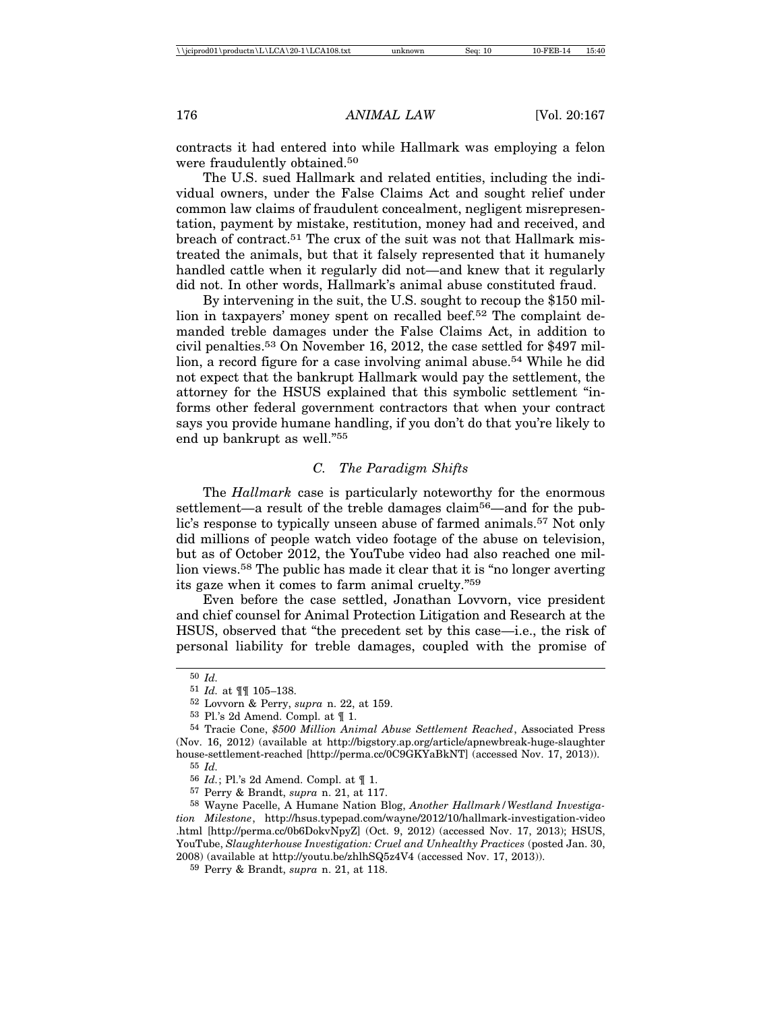contracts it had entered into while Hallmark was employing a felon were fraudulently obtained.50

The U.S. sued Hallmark and related entities, including the individual owners, under the False Claims Act and sought relief under common law claims of fraudulent concealment, negligent misrepresentation, payment by mistake, restitution, money had and received, and breach of contract.51 The crux of the suit was not that Hallmark mistreated the animals, but that it falsely represented that it humanely handled cattle when it regularly did not—and knew that it regularly did not. In other words, Hallmark's animal abuse constituted fraud.

By intervening in the suit, the U.S. sought to recoup the \$150 million in taxpayers' money spent on recalled beef.<sup>52</sup> The complaint demanded treble damages under the False Claims Act, in addition to civil penalties.53 On November 16, 2012, the case settled for \$497 million, a record figure for a case involving animal abuse.<sup>54</sup> While he did not expect that the bankrupt Hallmark would pay the settlement, the attorney for the HSUS explained that this symbolic settlement "informs other federal government contractors that when your contract says you provide humane handling, if you don't do that you're likely to end up bankrupt as well."55

# *C. The Paradigm Shifts*

The *Hallmark* case is particularly noteworthy for the enormous settlement—a result of the treble damages claim<sup>56</sup>—and for the public's response to typically unseen abuse of farmed animals.57 Not only did millions of people watch video footage of the abuse on television, but as of October 2012, the YouTube video had also reached one million views.58 The public has made it clear that it is "no longer averting its gaze when it comes to farm animal cruelty."59

Even before the case settled, Jonathan Lovvorn, vice president and chief counsel for Animal Protection Litigation and Research at the HSUS, observed that "the precedent set by this case—i.e., the risk of personal liability for treble damages, coupled with the promise of

<sup>50</sup> *Id.*

<sup>51</sup> *Id.* at ¶¶ 105–138.

<sup>52</sup> Lovvorn & Perry, *supra* n. 22, at 159.

<sup>53</sup> Pl.'s 2d Amend. Compl. at ¶ 1.

<sup>54</sup> Tracie Cone, *\$500 Million Animal Abuse Settlement Reached*, Associated Press (Nov. 16, 2012) (available at http://bigstory.ap.org/article/apnewbreak-huge-slaughter house-settlement-reached [http://perma.cc/0C9GKYaBkNT] (accessed Nov. 17, 2013)).

<sup>55</sup> *Id.*

<sup>56</sup> *Id.*; Pl.'s 2d Amend. Compl. at ¶ 1.

<sup>57</sup> Perry & Brandt, *supra* n. 21, at 117.

<sup>58</sup> Wayne Pacelle, A Humane Nation Blog, *Another Hallmark/Westland Investigation Milestone*, http://hsus.typepad.com/wayne/2012/10/hallmark-investigation-video .html [http://perma.cc/0b6DokvNpyZ] (Oct. 9, 2012) (accessed Nov. 17, 2013); HSUS, YouTube, *Slaughterhouse Investigation: Cruel and Unhealthy Practices* (posted Jan. 30, 2008) (available at http://youtu.be/zhlhSQ5z4V4 (accessed Nov. 17, 2013)).

<sup>59</sup> Perry & Brandt, *supra* n. 21, at 118.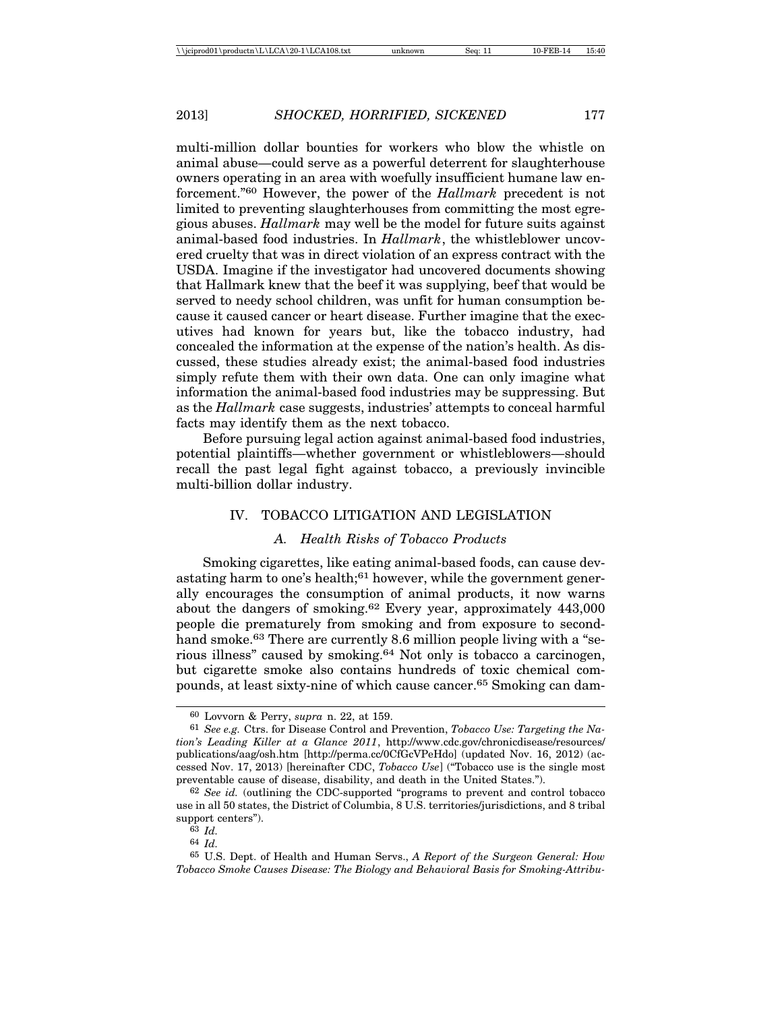multi-million dollar bounties for workers who blow the whistle on animal abuse—could serve as a powerful deterrent for slaughterhouse owners operating in an area with woefully insufficient humane law enforcement."60 However, the power of the *Hallmark* precedent is not limited to preventing slaughterhouses from committing the most egregious abuses. *Hallmark* may well be the model for future suits against animal-based food industries. In *Hallmark*, the whistleblower uncovered cruelty that was in direct violation of an express contract with the USDA. Imagine if the investigator had uncovered documents showing that Hallmark knew that the beef it was supplying, beef that would be served to needy school children, was unfit for human consumption because it caused cancer or heart disease. Further imagine that the executives had known for years but, like the tobacco industry, had concealed the information at the expense of the nation's health. As discussed, these studies already exist; the animal-based food industries simply refute them with their own data. One can only imagine what information the animal-based food industries may be suppressing. But as the *Hallmark* case suggests, industries' attempts to conceal harmful facts may identify them as the next tobacco.

Before pursuing legal action against animal-based food industries, potential plaintiffs—whether government or whistleblowers—should recall the past legal fight against tobacco, a previously invincible multi-billion dollar industry.

# IV. TOBACCO LITIGATION AND LEGISLATION

### *A. Health Risks of Tobacco Products*

Smoking cigarettes, like eating animal-based foods, can cause devastating harm to one's health; $61$  however, while the government generally encourages the consumption of animal products, it now warns about the dangers of smoking.62 Every year, approximately 443,000 people die prematurely from smoking and from exposure to secondhand smoke.<sup>63</sup> There are currently 8.6 million people living with a "serious illness" caused by smoking.64 Not only is tobacco a carcinogen, but cigarette smoke also contains hundreds of toxic chemical compounds, at least sixty-nine of which cause cancer.65 Smoking can dam-

64 *Id.*

<sup>60</sup> Lovvorn & Perry, *supra* n. 22, at 159.

<sup>61</sup> *See e.g.* Ctrs. for Disease Control and Prevention, *Tobacco Use: Targeting the Nation's Leading Killer at a Glance 2011*, http://www.cdc.gov/chronicdisease/resources/ publications/aag/osh.htm [http://perma.cc/0CfGcVPeHdo] (updated Nov. 16, 2012) (accessed Nov. 17, 2013) [hereinafter CDC, *Tobacco Use*] ("Tobacco use is the single most preventable cause of disease, disability, and death in the United States.").

<sup>62</sup> *See id.* (outlining the CDC-supported "programs to prevent and control tobacco use in all 50 states, the District of Columbia, 8 U.S. territories/jurisdictions, and 8 tribal support centers").

<sup>63</sup> *Id.*

<sup>65</sup> U.S. Dept. of Health and Human Servs., *A Report of the Surgeon General: How Tobacco Smoke Causes Disease: The Biology and Behavioral Basis for Smoking-Attribu-*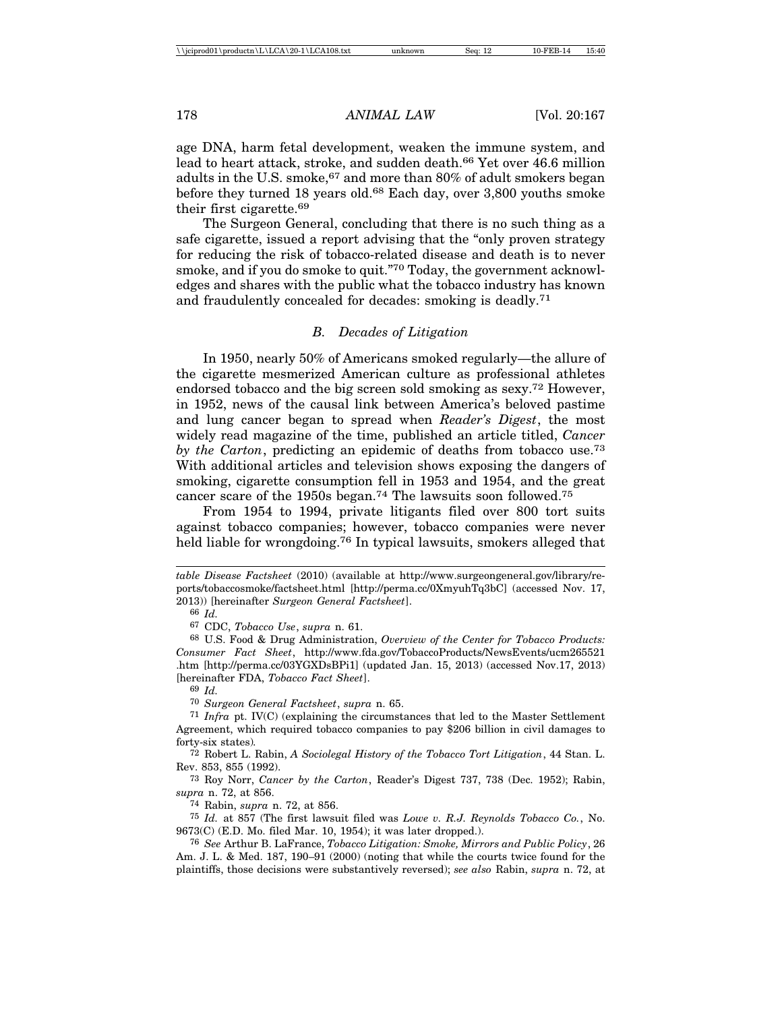age DNA, harm fetal development, weaken the immune system, and lead to heart attack, stroke, and sudden death.<sup>66</sup> Yet over 46.6 million adults in the U.S. smoke,  $67$  and more than 80% of adult smokers began before they turned 18 years old.<sup>68</sup> Each day, over 3,800 youths smoke their first cigarette.69

The Surgeon General, concluding that there is no such thing as a safe cigarette, issued a report advising that the "only proven strategy for reducing the risk of tobacco-related disease and death is to never smoke, and if you do smoke to quit."70 Today, the government acknowledges and shares with the public what the tobacco industry has known and fraudulently concealed for decades: smoking is deadly.71

# *B. Decades of Litigation*

In 1950, nearly 50% of Americans smoked regularly—the allure of the cigarette mesmerized American culture as professional athletes endorsed tobacco and the big screen sold smoking as sexy.72 However, in 1952, news of the causal link between America's beloved pastime and lung cancer began to spread when *Reader's Digest*, the most widely read magazine of the time, published an article titled, *Cancer by the Carton*, predicting an epidemic of deaths from tobacco use.<sup>73</sup> With additional articles and television shows exposing the dangers of smoking, cigarette consumption fell in 1953 and 1954, and the great cancer scare of the 1950s began.74 The lawsuits soon followed.75

From 1954 to 1994, private litigants filed over 800 tort suits against tobacco companies; however, tobacco companies were never held liable for wrongdoing.<sup>76</sup> In typical lawsuits, smokers alleged that

70 *Surgeon General Factsheet*, *supra* n. 65.

*table Disease Factsheet* (2010) (available at http://www.surgeongeneral.gov/library/reports/tobaccosmoke/factsheet.html [http://perma.cc/0XmyuhTq3bC] (accessed Nov. 17, 2013)) [hereinafter *Surgeon General Factsheet*].

<sup>66</sup> *Id.*

<sup>67</sup> CDC, *Tobacco Use*, *supra* n. 61.

<sup>68</sup> U.S. Food & Drug Administration, *Overview of the Center for Tobacco Products: Consumer Fact Sheet*, http://www.fda.gov/TobaccoProducts/NewsEvents/ucm265521 .htm [http://perma.cc/03YGXDsBPi1] (updated Jan. 15, 2013) (accessed Nov.17, 2013) [hereinafter FDA, *Tobacco Fact Sheet*].

<sup>69</sup> *Id.*

<sup>71</sup> *Infra* pt. IV(C) (explaining the circumstances that led to the Master Settlement Agreement, which required tobacco companies to pay \$206 billion in civil damages to forty-six states)*.*

<sup>72</sup> Robert L. Rabin, *A Sociolegal History of the Tobacco Tort Litigation*, 44 Stan. L. Rev. 853, 855 (1992).

<sup>73</sup> Roy Norr, *Cancer by the Carton*, Reader's Digest 737, 738 (Dec. 1952); Rabin, *supra* n. 72, at 856.

<sup>74</sup> Rabin, *supra* n. 72, at 856.

<sup>75</sup> *Id.* at 857 (The first lawsuit filed was *Lowe v. R.J. Reynolds Tobacco Co.*, No. 9673(C) (E.D. Mo. filed Mar. 10, 1954); it was later dropped.).

<sup>76</sup> *See* Arthur B. LaFrance, *Tobacco Litigation: Smoke, Mirrors and Public Policy*, 26 Am. J. L. & Med. 187, 190–91 (2000) (noting that while the courts twice found for the plaintiffs, those decisions were substantively reversed); *see also* Rabin, *supra* n. 72, at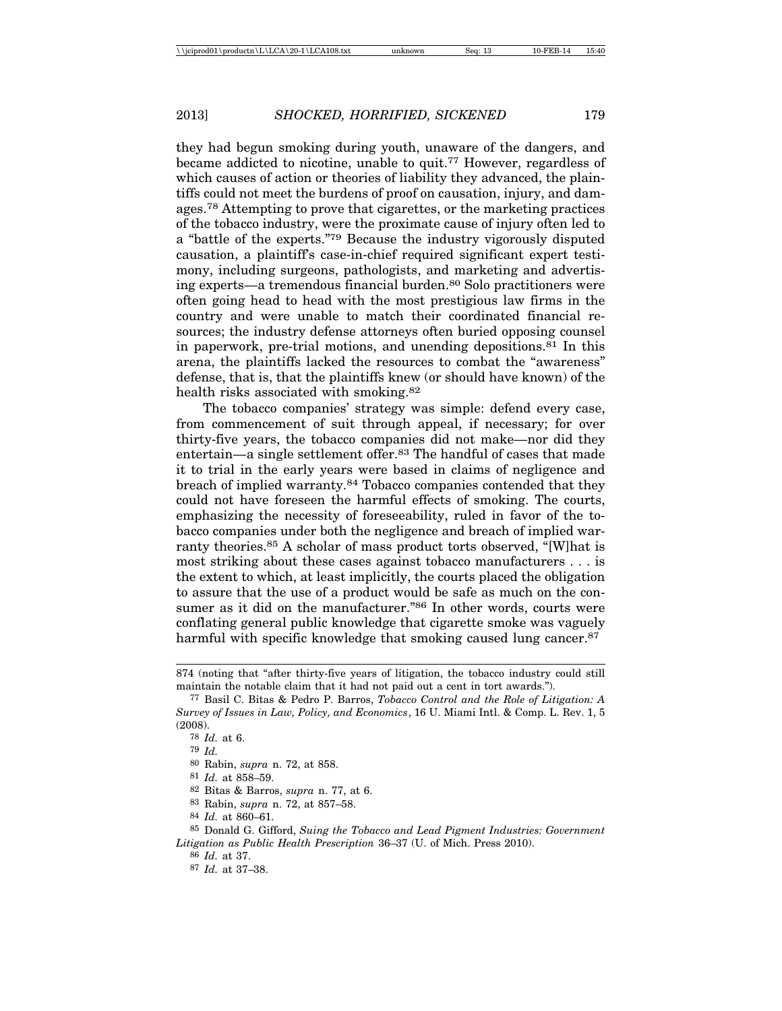they had begun smoking during youth, unaware of the dangers, and became addicted to nicotine, unable to quit.77 However, regardless of which causes of action or theories of liability they advanced, the plaintiffs could not meet the burdens of proof on causation, injury, and damages.78 Attempting to prove that cigarettes, or the marketing practices of the tobacco industry, were the proximate cause of injury often led to a "battle of the experts."79 Because the industry vigorously disputed causation, a plaintiff's case-in-chief required significant expert testimony, including surgeons, pathologists, and marketing and advertising experts—a tremendous financial burden.80 Solo practitioners were often going head to head with the most prestigious law firms in the country and were unable to match their coordinated financial resources; the industry defense attorneys often buried opposing counsel in paperwork, pre-trial motions, and unending depositions.81 In this arena, the plaintiffs lacked the resources to combat the "awareness" defense, that is, that the plaintiffs knew (or should have known) of the health risks associated with smoking.82

The tobacco companies' strategy was simple: defend every case, from commencement of suit through appeal, if necessary; for over thirty-five years, the tobacco companies did not make—nor did they entertain—a single settlement offer.83 The handful of cases that made it to trial in the early years were based in claims of negligence and breach of implied warranty.84 Tobacco companies contended that they could not have foreseen the harmful effects of smoking. The courts, emphasizing the necessity of foreseeability, ruled in favor of the tobacco companies under both the negligence and breach of implied warranty theories.<sup>85</sup> A scholar of mass product torts observed, "[W]hat is most striking about these cases against tobacco manufacturers . . . is the extent to which, at least implicitly, the courts placed the obligation to assure that the use of a product would be safe as much on the consumer as it did on the manufacturer."<sup>86</sup> In other words, courts were conflating general public knowledge that cigarette smoke was vaguely harmful with specific knowledge that smoking caused lung cancer.<sup>87</sup>

83 Rabin, *supra* n. 72, at 857–58.

87 *Id.* at 37–38.

<sup>874 (</sup>noting that "after thirty-five years of litigation, the tobacco industry could still maintain the notable claim that it had not paid out a cent in tort awards.").

<sup>77</sup> Basil C. Bitas & Pedro P. Barros, *Tobacco Control and the Role of Litigation: A Survey of Issues in Law, Policy, and Economics*, 16 U. Miami Intl. & Comp. L. Rev. 1, 5 (2008).

<sup>78</sup> *Id.* at 6.

<sup>79</sup> *Id.*

<sup>80</sup> Rabin, *supra* n. 72, at 858.

<sup>81</sup> *Id.* at 858–59.

<sup>82</sup> Bitas & Barros, *supra* n. 77, at 6.

<sup>84</sup> *Id.* at 860–61.

<sup>85</sup> Donald G. Gifford, *Suing the Tobacco and Lead Pigment Industries: Government Litigation as Public Health Prescription* 36–37 (U. of Mich. Press 2010).

<sup>86</sup> *Id.* at 37.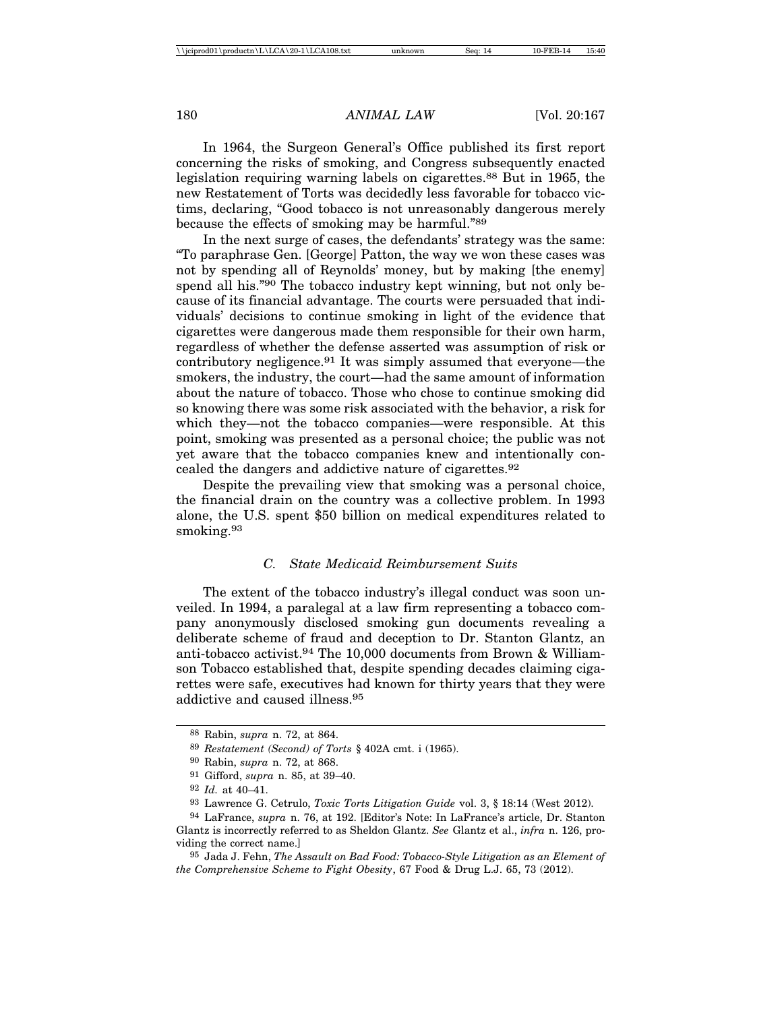In 1964, the Surgeon General's Office published its first report concerning the risks of smoking, and Congress subsequently enacted legislation requiring warning labels on cigarettes.<sup>88</sup> But in 1965, the new Restatement of Torts was decidedly less favorable for tobacco victims, declaring, "Good tobacco is not unreasonably dangerous merely because the effects of smoking may be harmful."89

In the next surge of cases, the defendants' strategy was the same: "To paraphrase Gen. [George] Patton, the way we won these cases was not by spending all of Reynolds' money, but by making [the enemy] spend all his."90 The tobacco industry kept winning, but not only because of its financial advantage. The courts were persuaded that individuals' decisions to continue smoking in light of the evidence that cigarettes were dangerous made them responsible for their own harm, regardless of whether the defense asserted was assumption of risk or contributory negligence.91 It was simply assumed that everyone—the smokers, the industry, the court—had the same amount of information about the nature of tobacco. Those who chose to continue smoking did so knowing there was some risk associated with the behavior, a risk for which they—not the tobacco companies—were responsible. At this point, smoking was presented as a personal choice; the public was not yet aware that the tobacco companies knew and intentionally concealed the dangers and addictive nature of cigarettes.92

Despite the prevailing view that smoking was a personal choice, the financial drain on the country was a collective problem. In 1993 alone, the U.S. spent \$50 billion on medical expenditures related to smoking.<sup>93</sup>

#### *C. State Medicaid Reimbursement Suits*

The extent of the tobacco industry's illegal conduct was soon unveiled. In 1994, a paralegal at a law firm representing a tobacco company anonymously disclosed smoking gun documents revealing a deliberate scheme of fraud and deception to Dr. Stanton Glantz, an anti-tobacco activist.94 The 10,000 documents from Brown & Williamson Tobacco established that, despite spending decades claiming cigarettes were safe, executives had known for thirty years that they were addictive and caused illness.95

<sup>88</sup> Rabin, *supra* n. 72, at 864.

<sup>89</sup> *Restatement (Second) of Torts* § 402A cmt. i (1965).

<sup>90</sup> Rabin, *supra* n. 72, at 868.

<sup>91</sup> Gifford, *supra* n. 85, at 39–40.

<sup>92</sup> *Id.* at 40–41.

<sup>93</sup> Lawrence G. Cetrulo, *Toxic Torts Litigation Guide* vol. 3, § 18:14 (West 2012).

<sup>94</sup> LaFrance, *supra* n. 76, at 192. [Editor's Note: In LaFrance's article, Dr. Stanton Glantz is incorrectly referred to as Sheldon Glantz. *See* Glantz et al., *infra* n. 126, providing the correct name.]

<sup>95</sup> Jada J. Fehn, *The Assault on Bad Food: Tobacco-Style Litigation as an Element of the Comprehensive Scheme to Fight Obesity*, 67 Food & Drug L.J. 65, 73 (2012).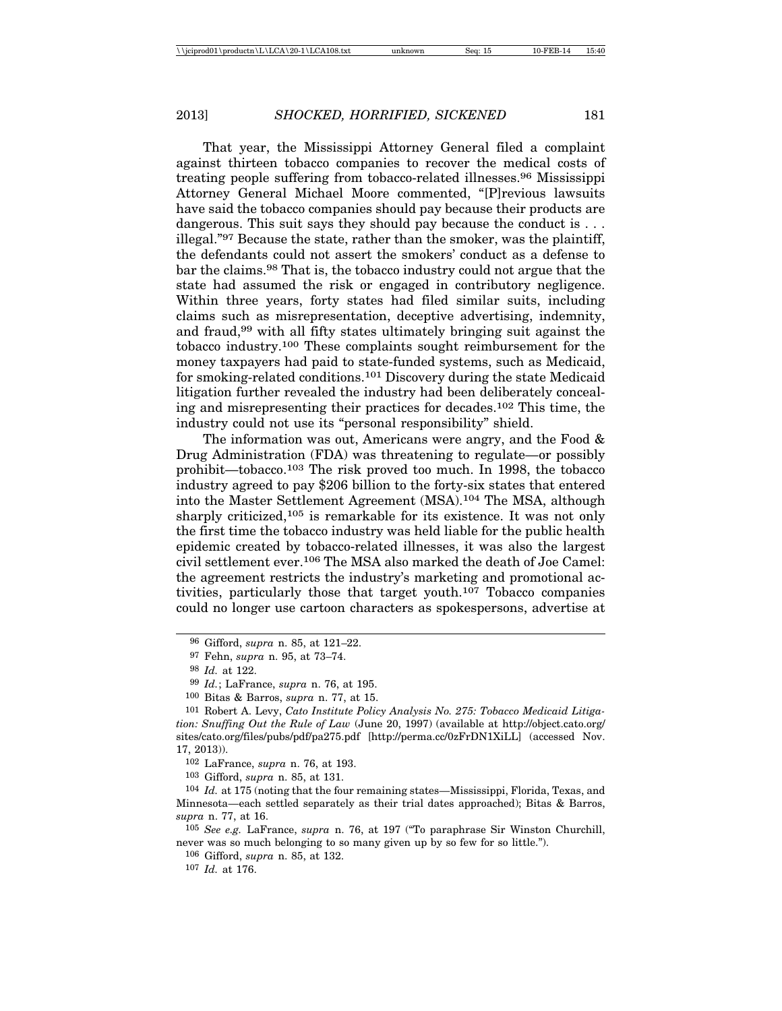That year, the Mississippi Attorney General filed a complaint against thirteen tobacco companies to recover the medical costs of treating people suffering from tobacco-related illnesses.96 Mississippi Attorney General Michael Moore commented, "[P]revious lawsuits have said the tobacco companies should pay because their products are dangerous. This suit says they should pay because the conduct is . . . illegal."97 Because the state, rather than the smoker, was the plaintiff, the defendants could not assert the smokers' conduct as a defense to bar the claims.98 That is, the tobacco industry could not argue that the state had assumed the risk or engaged in contributory negligence. Within three years, forty states had filed similar suits, including claims such as misrepresentation, deceptive advertising, indemnity, and fraud,99 with all fifty states ultimately bringing suit against the tobacco industry.100 These complaints sought reimbursement for the money taxpayers had paid to state-funded systems, such as Medicaid, for smoking-related conditions.101 Discovery during the state Medicaid litigation further revealed the industry had been deliberately concealing and misrepresenting their practices for decades.102 This time, the industry could not use its "personal responsibility" shield.

The information was out, Americans were angry, and the Food & Drug Administration (FDA) was threatening to regulate—or possibly prohibit—tobacco.103 The risk proved too much. In 1998, the tobacco industry agreed to pay \$206 billion to the forty-six states that entered into the Master Settlement Agreement (MSA).104 The MSA, although sharply criticized,<sup>105</sup> is remarkable for its existence. It was not only the first time the tobacco industry was held liable for the public health epidemic created by tobacco-related illnesses, it was also the largest civil settlement ever.106 The MSA also marked the death of Joe Camel: the agreement restricts the industry's marketing and promotional activities, particularly those that target youth.107 Tobacco companies could no longer use cartoon characters as spokespersons, advertise at

102 LaFrance, *supra* n. 76, at 193.

103 Gifford, *supra* n. 85, at 131.

104 *Id.* at 175 (noting that the four remaining states—Mississippi, Florida, Texas, and Minnesota—each settled separately as their trial dates approached); Bitas & Barros, *supra* n. 77, at 16.

105 *See e.g.* LaFrance, *supra* n. 76, at 197 ("To paraphrase Sir Winston Churchill, never was so much belonging to so many given up by so few for so little.").

106 Gifford, *supra* n. 85, at 132. 107 *Id.* at 176.

<sup>96</sup> Gifford, *supra* n. 85, at 121–22.

<sup>97</sup> Fehn, *supra* n. 95, at 73–74.

<sup>98</sup> *Id.* at 122.

<sup>99</sup> *Id.*; LaFrance, *supra* n. 76, at 195.

<sup>100</sup> Bitas & Barros, *supra* n. 77, at 15.

<sup>101</sup> Robert A. Levy, *Cato Institute Policy Analysis No. 275: Tobacco Medicaid Litigation: Snuffing Out the Rule of Law* (June 20, 1997) (available at http://object.cato.org/ sites/cato.org/files/pubs/pdf/pa275.pdf [http://perma.cc/0zFrDN1XiLL] (accessed Nov. 17, 2013)).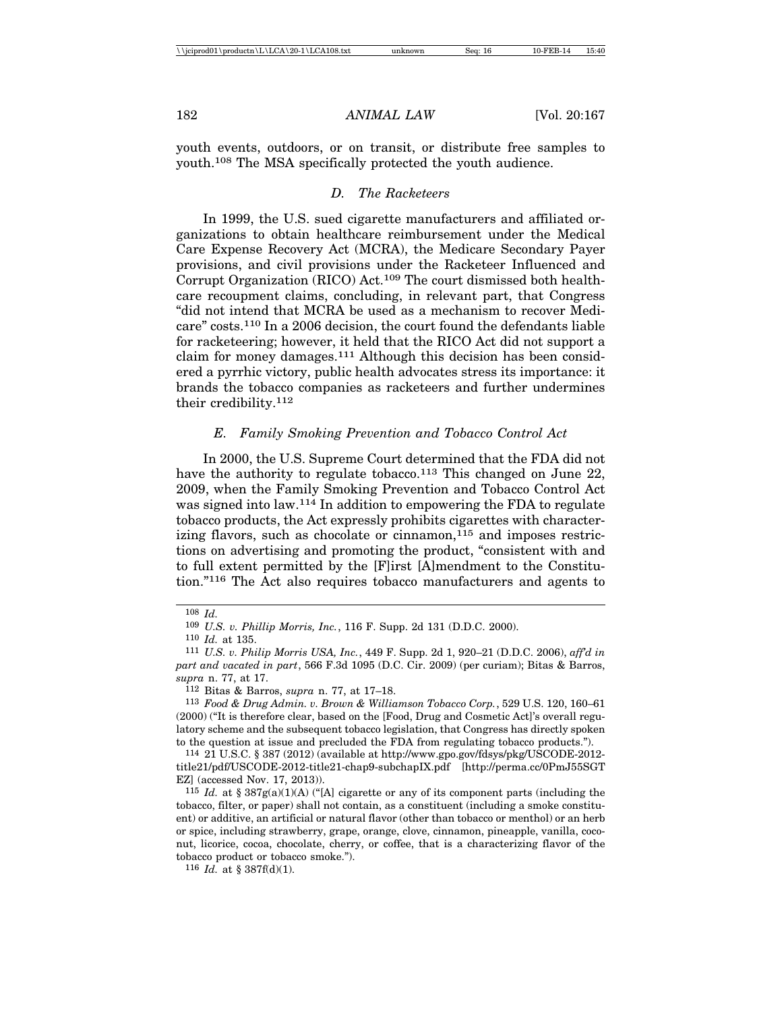youth events, outdoors, or on transit, or distribute free samples to youth.108 The MSA specifically protected the youth audience.

# *D. The Racketeers*

In 1999, the U.S. sued cigarette manufacturers and affiliated organizations to obtain healthcare reimbursement under the Medical Care Expense Recovery Act (MCRA), the Medicare Secondary Payer provisions, and civil provisions under the Racketeer Influenced and Corrupt Organization (RICO) Act.109 The court dismissed both healthcare recoupment claims, concluding, in relevant part, that Congress "did not intend that MCRA be used as a mechanism to recover Medicare" costs.110 In a 2006 decision, the court found the defendants liable for racketeering; however, it held that the RICO Act did not support a claim for money damages.111 Although this decision has been considered a pyrrhic victory, public health advocates stress its importance: it brands the tobacco companies as racketeers and further undermines their credibility.112

# *E. Family Smoking Prevention and Tobacco Control Act*

In 2000, the U.S. Supreme Court determined that the FDA did not have the authority to regulate tobacco.<sup>113</sup> This changed on June 22, 2009, when the Family Smoking Prevention and Tobacco Control Act was signed into law.114 In addition to empowering the FDA to regulate tobacco products, the Act expressly prohibits cigarettes with characterizing flavors, such as chocolate or cinnamon, $115$  and imposes restrictions on advertising and promoting the product, "consistent with and to full extent permitted by the [F]irst [A]mendment to the Constitution."116 The Act also requires tobacco manufacturers and agents to

<sup>108</sup> *Id.*

<sup>109</sup> *U.S. v. Phillip Morris, Inc.*, 116 F. Supp. 2d 131 (D.D.C. 2000).

<sup>110</sup> *Id.* at 135.

<sup>111</sup> *U.S. v. Philip Morris USA, Inc.*, 449 F. Supp. 2d 1, 920–21 (D.D.C. 2006), *aff'd in part and vacated in part*, 566 F.3d 1095 (D.C. Cir. 2009) (per curiam); Bitas & Barros, *supra* n. 77, at 17.

<sup>112</sup> Bitas & Barros, *supra* n. 77, at 17–18.

<sup>113</sup> *Food & Drug Admin. v. Brown & Williamson Tobacco Corp.*, 529 U.S. 120, 160–61 (2000) ("It is therefore clear, based on the [Food, Drug and Cosmetic Act]'s overall regulatory scheme and the subsequent tobacco legislation, that Congress has directly spoken to the question at issue and precluded the FDA from regulating tobacco products.").

<sup>114</sup> 21 U.S.C. § 387 (2012) (available at http://www.gpo.gov/fdsys/pkg/USCODE-2012 title21/pdf/USCODE-2012-title21-chap9-subchapIX.pdf [http://perma.cc/0PmJ55SGT EZ] (accessed Nov. 17, 2013)).

<sup>115</sup> *Id.* at § 387g(a)(1)(A) ("[A] cigarette or any of its component parts (including the tobacco, filter, or paper) shall not contain, as a constituent (including a smoke constituent) or additive, an artificial or natural flavor (other than tobacco or menthol) or an herb or spice, including strawberry, grape, orange, clove, cinnamon, pineapple, vanilla, coconut, licorice, cocoa, chocolate, cherry, or coffee, that is a characterizing flavor of the tobacco product or tobacco smoke.").

<sup>116</sup> *Id.* at § 387f(d)(1).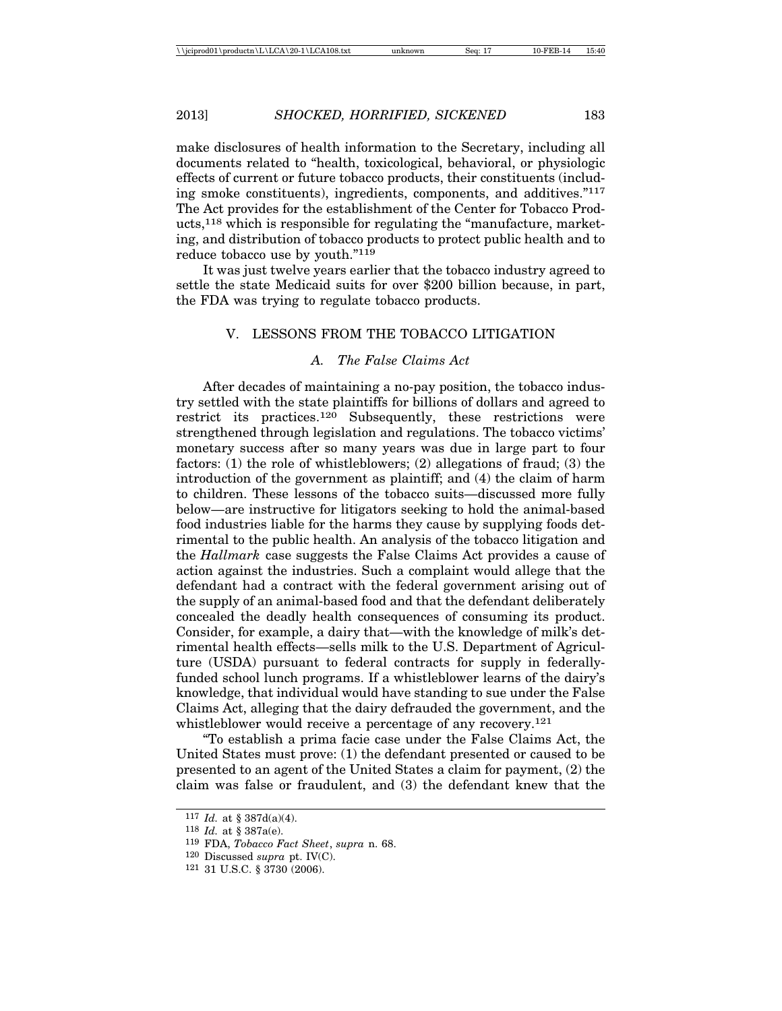make disclosures of health information to the Secretary, including all documents related to "health, toxicological, behavioral, or physiologic effects of current or future tobacco products, their constituents (including smoke constituents), ingredients, components, and additives."117 The Act provides for the establishment of the Center for Tobacco Products,118 which is responsible for regulating the "manufacture, marketing, and distribution of tobacco products to protect public health and to reduce tobacco use by youth."119

It was just twelve years earlier that the tobacco industry agreed to settle the state Medicaid suits for over \$200 billion because, in part, the FDA was trying to regulate tobacco products.

#### V. LESSONS FROM THE TOBACCO LITIGATION

# *A. The False Claims Act*

After decades of maintaining a no-pay position, the tobacco industry settled with the state plaintiffs for billions of dollars and agreed to restrict its practices.120 Subsequently, these restrictions were strengthened through legislation and regulations. The tobacco victims' monetary success after so many years was due in large part to four factors: (1) the role of whistleblowers; (2) allegations of fraud; (3) the introduction of the government as plaintiff; and (4) the claim of harm to children. These lessons of the tobacco suits—discussed more fully below—are instructive for litigators seeking to hold the animal-based food industries liable for the harms they cause by supplying foods detrimental to the public health. An analysis of the tobacco litigation and the *Hallmark* case suggests the False Claims Act provides a cause of action against the industries. Such a complaint would allege that the defendant had a contract with the federal government arising out of the supply of an animal-based food and that the defendant deliberately concealed the deadly health consequences of consuming its product. Consider, for example, a dairy that—with the knowledge of milk's detrimental health effects—sells milk to the U.S. Department of Agriculture (USDA) pursuant to federal contracts for supply in federallyfunded school lunch programs. If a whistleblower learns of the dairy's knowledge, that individual would have standing to sue under the False Claims Act, alleging that the dairy defrauded the government, and the whistleblower would receive a percentage of any recovery.<sup>121</sup>

"To establish a prima facie case under the False Claims Act, the United States must prove: (1) the defendant presented or caused to be presented to an agent of the United States a claim for payment, (2) the claim was false or fraudulent, and (3) the defendant knew that the

<sup>117</sup> *Id.* at § 387d(a)(4).

<sup>118</sup> *Id.* at § 387a(e).

<sup>119</sup> FDA, *Tobacco Fact Sheet*, *supra* n. 68.

<sup>120</sup> Discussed *supra* pt. IV(C).

<sup>121</sup> 31 U.S.C. § 3730 (2006).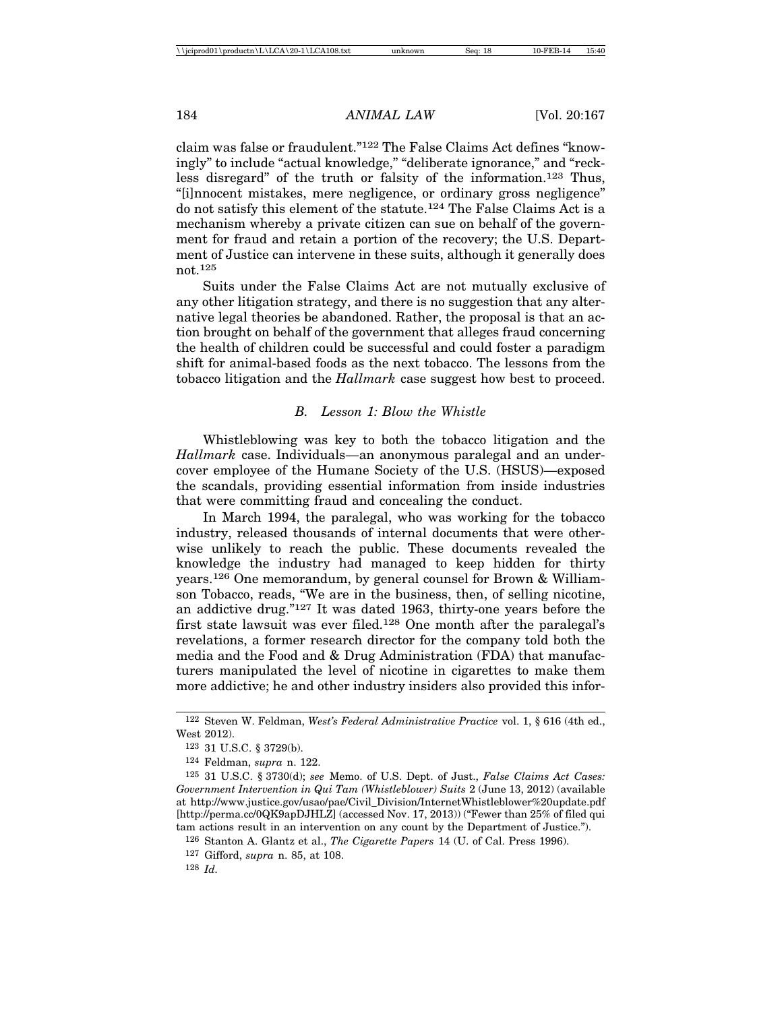claim was false or fraudulent."122 The False Claims Act defines "knowingly" to include "actual knowledge," "deliberate ignorance," and "reckless disregard" of the truth or falsity of the information.123 Thus, "[i]nnocent mistakes, mere negligence, or ordinary gross negligence" do not satisfy this element of the statute.124 The False Claims Act is a mechanism whereby a private citizen can sue on behalf of the government for fraud and retain a portion of the recovery; the U.S. Department of Justice can intervene in these suits, although it generally does not.125

Suits under the False Claims Act are not mutually exclusive of any other litigation strategy, and there is no suggestion that any alternative legal theories be abandoned. Rather, the proposal is that an action brought on behalf of the government that alleges fraud concerning the health of children could be successful and could foster a paradigm shift for animal-based foods as the next tobacco. The lessons from the tobacco litigation and the *Hallmark* case suggest how best to proceed.

# *B. Lesson 1: Blow the Whistle*

Whistleblowing was key to both the tobacco litigation and the *Hallmark* case. Individuals—an anonymous paralegal and an undercover employee of the Humane Society of the U.S. (HSUS)—exposed the scandals, providing essential information from inside industries that were committing fraud and concealing the conduct.

In March 1994, the paralegal, who was working for the tobacco industry, released thousands of internal documents that were otherwise unlikely to reach the public. These documents revealed the knowledge the industry had managed to keep hidden for thirty years.126 One memorandum, by general counsel for Brown & Williamson Tobacco, reads, "We are in the business, then, of selling nicotine, an addictive drug."127 It was dated 1963, thirty-one years before the first state lawsuit was ever filed.128 One month after the paralegal's revelations, a former research director for the company told both the media and the Food and & Drug Administration (FDA) that manufacturers manipulated the level of nicotine in cigarettes to make them more addictive; he and other industry insiders also provided this infor-

126 Stanton A. Glantz et al., *The Cigarette Papers* 14 (U. of Cal. Press 1996).

128 *Id.*

<sup>122</sup> Steven W. Feldman, *West's Federal Administrative Practice* vol. 1, § 616 (4th ed., West 2012).

<sup>123</sup> 31 U.S.C. § 3729(b).

<sup>124</sup> Feldman, *supra* n. 122.

<sup>125</sup> 31 U.S.C. § 3730(d); *see* Memo. of U.S. Dept. of Just., *False Claims Act Cases: Government Intervention in Qui Tam (Whistleblower) Suits* 2 (June 13, 2012) (available at http://www.justice.gov/usao/pae/Civil\_Division/InternetWhistleblower%20update.pdf [http://perma.cc/0QK9apDJHLZ] (accessed Nov. 17, 2013)) ("Fewer than 25% of filed qui tam actions result in an intervention on any count by the Department of Justice.").

<sup>127</sup> Gifford, *supra* n. 85, at 108.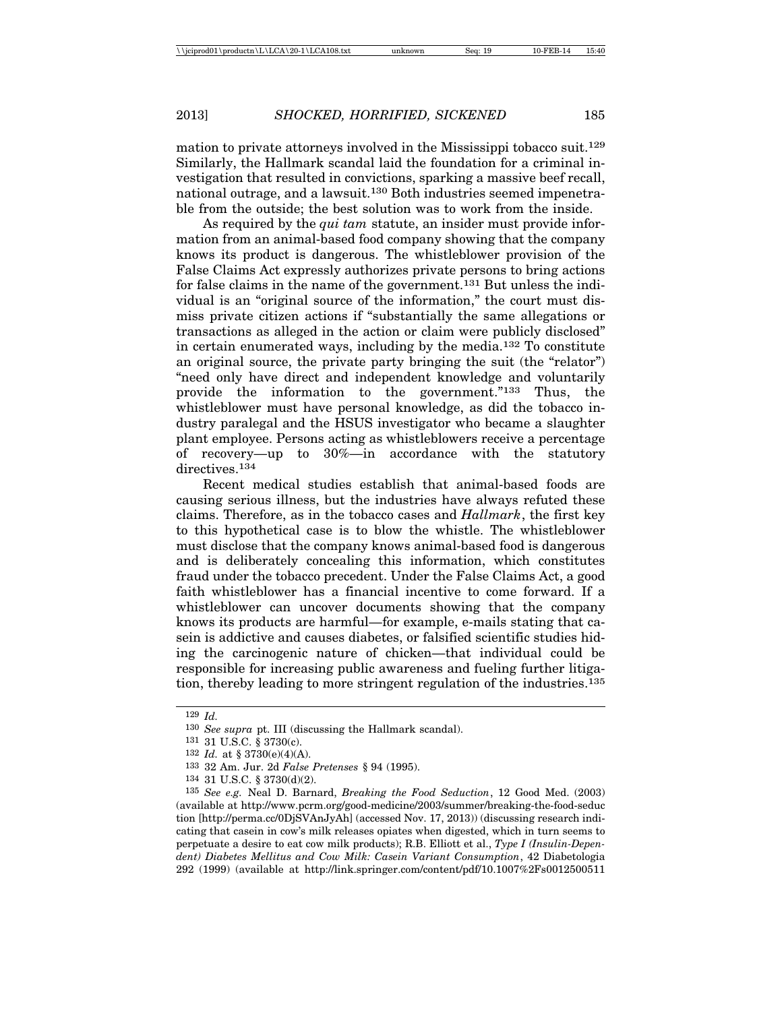mation to private attorneys involved in the Mississippi tobacco suit.129 Similarly, the Hallmark scandal laid the foundation for a criminal investigation that resulted in convictions, sparking a massive beef recall, national outrage, and a lawsuit.130 Both industries seemed impenetrable from the outside; the best solution was to work from the inside.

As required by the *qui tam* statute, an insider must provide information from an animal-based food company showing that the company knows its product is dangerous. The whistleblower provision of the False Claims Act expressly authorizes private persons to bring actions for false claims in the name of the government.131 But unless the individual is an "original source of the information," the court must dismiss private citizen actions if "substantially the same allegations or transactions as alleged in the action or claim were publicly disclosed" in certain enumerated ways, including by the media.132 To constitute an original source, the private party bringing the suit (the "relator") "need only have direct and independent knowledge and voluntarily provide the information to the government."133 Thus, the whistleblower must have personal knowledge, as did the tobacco industry paralegal and the HSUS investigator who became a slaughter plant employee. Persons acting as whistleblowers receive a percentage of recovery—up to 30%—in accordance with the statutory directives.<sup>134</sup>

Recent medical studies establish that animal-based foods are causing serious illness, but the industries have always refuted these claims. Therefore, as in the tobacco cases and *Hallmark*, the first key to this hypothetical case is to blow the whistle. The whistleblower must disclose that the company knows animal-based food is dangerous and is deliberately concealing this information, which constitutes fraud under the tobacco precedent. Under the False Claims Act, a good faith whistleblower has a financial incentive to come forward. If a whistleblower can uncover documents showing that the company knows its products are harmful—for example, e-mails stating that casein is addictive and causes diabetes, or falsified scientific studies hiding the carcinogenic nature of chicken—that individual could be responsible for increasing public awareness and fueling further litigation, thereby leading to more stringent regulation of the industries.135

<sup>129</sup> *Id.*

<sup>130</sup> *See supra* pt. III (discussing the Hallmark scandal).

<sup>131</sup> 31 U.S.C. § 3730(c).

<sup>132</sup> *Id.* at § 3730(e)(4)(A).

<sup>133</sup> 32 Am. Jur. 2d *False Pretenses* § 94 (1995).

<sup>134</sup> 31 U.S.C. § 3730(d)(2).

<sup>135</sup> *See e.g.* Neal D. Barnard, *Breaking the Food Seduction*, 12 Good Med. (2003) (available at http://www.pcrm.org/good-medicine/2003/summer/breaking-the-food-seduc tion [http://perma.cc/0DjSVAnJyAh] (accessed Nov. 17, 2013)) (discussing research indicating that casein in cow's milk releases opiates when digested, which in turn seems to perpetuate a desire to eat cow milk products); R.B. Elliott et al., *Type I (Insulin-Dependent) Diabetes Mellitus and Cow Milk: Casein Variant Consumption*, 42 Diabetologia 292 (1999) (available at http://link.springer.com/content/pdf/10.1007%2Fs0012500511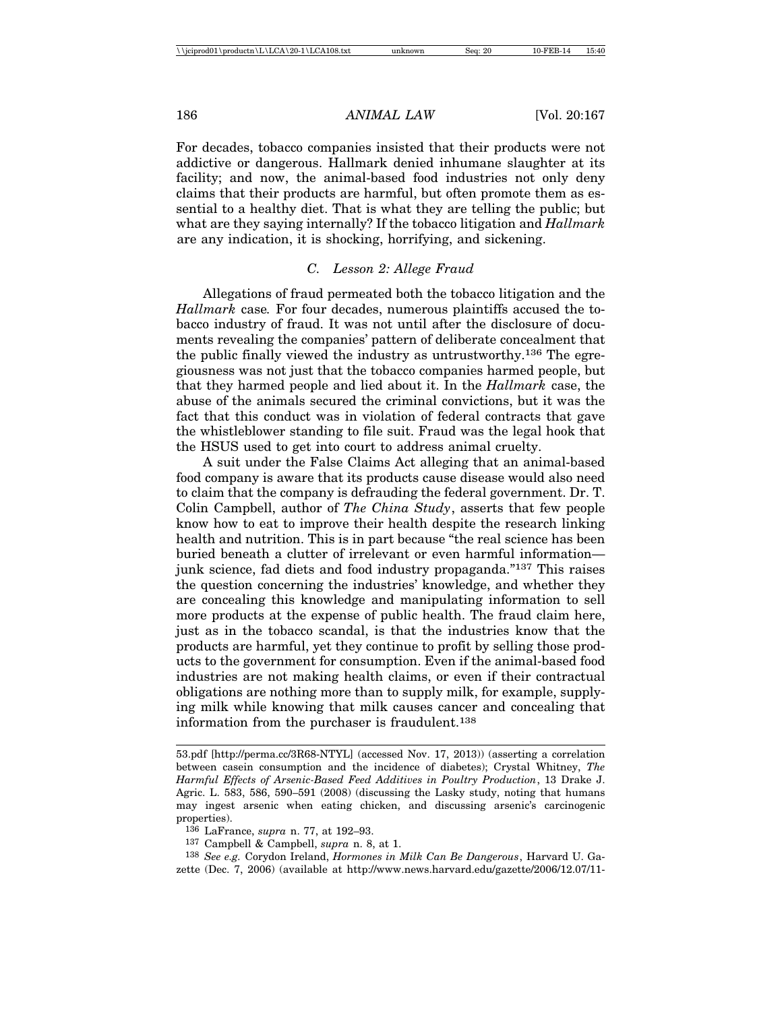For decades, tobacco companies insisted that their products were not addictive or dangerous. Hallmark denied inhumane slaughter at its facility; and now, the animal-based food industries not only deny claims that their products are harmful, but often promote them as essential to a healthy diet. That is what they are telling the public; but what are they saying internally? If the tobacco litigation and *Hallmark* are any indication, it is shocking, horrifying, and sickening.

#### *C. Lesson 2: Allege Fraud*

Allegations of fraud permeated both the tobacco litigation and the *Hallmark* case*.* For four decades, numerous plaintiffs accused the tobacco industry of fraud. It was not until after the disclosure of documents revealing the companies' pattern of deliberate concealment that the public finally viewed the industry as untrustworthy.136 The egregiousness was not just that the tobacco companies harmed people, but that they harmed people and lied about it. In the *Hallmark* case, the abuse of the animals secured the criminal convictions, but it was the fact that this conduct was in violation of federal contracts that gave the whistleblower standing to file suit. Fraud was the legal hook that the HSUS used to get into court to address animal cruelty.

A suit under the False Claims Act alleging that an animal-based food company is aware that its products cause disease would also need to claim that the company is defrauding the federal government. Dr. T. Colin Campbell, author of *The China Study*, asserts that few people know how to eat to improve their health despite the research linking health and nutrition. This is in part because "the real science has been buried beneath a clutter of irrelevant or even harmful information junk science, fad diets and food industry propaganda."137 This raises the question concerning the industries' knowledge, and whether they are concealing this knowledge and manipulating information to sell more products at the expense of public health. The fraud claim here, just as in the tobacco scandal, is that the industries know that the products are harmful, yet they continue to profit by selling those products to the government for consumption. Even if the animal-based food industries are not making health claims, or even if their contractual obligations are nothing more than to supply milk, for example, supplying milk while knowing that milk causes cancer and concealing that information from the purchaser is fraudulent.138

<sup>53.</sup>pdf [http://perma.cc/3R68-NTYL] (accessed Nov. 17, 2013)) (asserting a correlation between casein consumption and the incidence of diabetes); Crystal Whitney, *The Harmful Effects of Arsenic-Based Feed Additives in Poultry Production*, 13 Drake J. Agric. L. 583, 586, 590–591 (2008) (discussing the Lasky study, noting that humans may ingest arsenic when eating chicken, and discussing arsenic's carcinogenic properties).

<sup>136</sup> LaFrance, *supra* n. 77, at 192–93.

<sup>137</sup> Campbell & Campbell, *supra* n. 8, at 1.

<sup>138</sup> *See e.g.* Corydon Ireland, *Hormones in Milk Can Be Dangerous*, Harvard U. Gazette (Dec. 7, 2006) (available at http://www.news.harvard.edu/gazette/2006/12.07/11-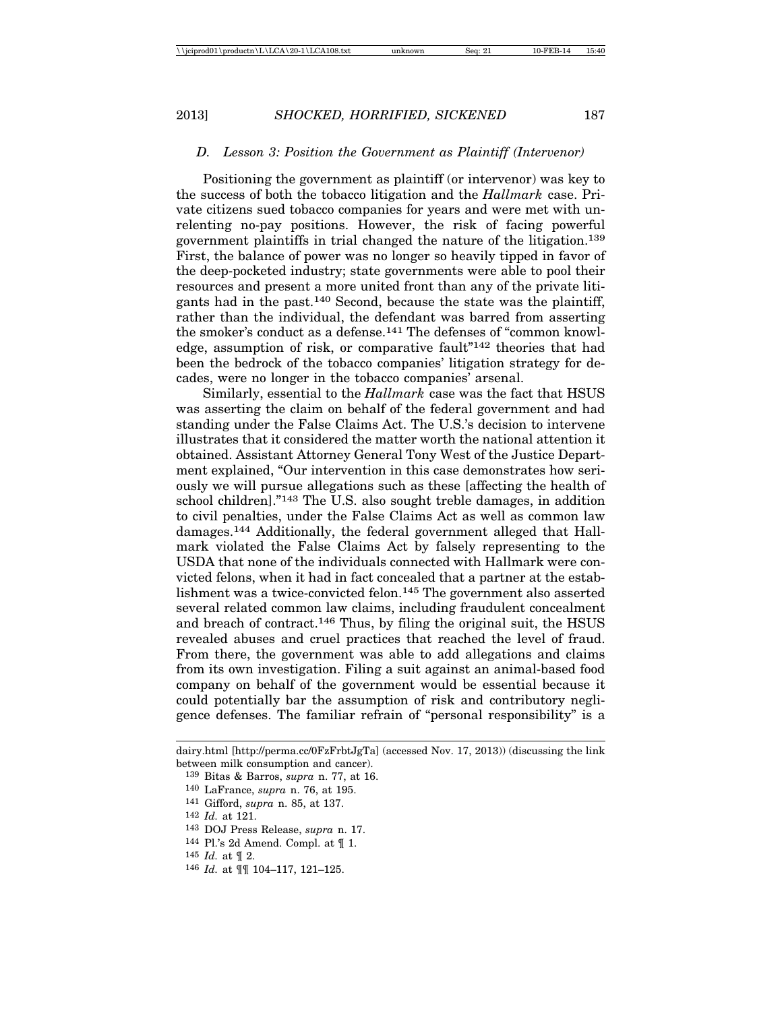#### *D. Lesson 3: Position the Government as Plaintiff (Intervenor)*

Positioning the government as plaintiff (or intervenor) was key to the success of both the tobacco litigation and the *Hallmark* case. Private citizens sued tobacco companies for years and were met with unrelenting no-pay positions. However, the risk of facing powerful government plaintiffs in trial changed the nature of the litigation.139 First, the balance of power was no longer so heavily tipped in favor of the deep-pocketed industry; state governments were able to pool their resources and present a more united front than any of the private litigants had in the past.140 Second, because the state was the plaintiff, rather than the individual, the defendant was barred from asserting the smoker's conduct as a defense.141 The defenses of "common knowledge, assumption of risk, or comparative fault"142 theories that had been the bedrock of the tobacco companies' litigation strategy for decades, were no longer in the tobacco companies' arsenal.

Similarly, essential to the *Hallmark* case was the fact that HSUS was asserting the claim on behalf of the federal government and had standing under the False Claims Act. The U.S.'s decision to intervene illustrates that it considered the matter worth the national attention it obtained. Assistant Attorney General Tony West of the Justice Department explained, "Our intervention in this case demonstrates how seriously we will pursue allegations such as these [affecting the health of school children]."143 The U.S. also sought treble damages, in addition to civil penalties, under the False Claims Act as well as common law damages.144 Additionally, the federal government alleged that Hallmark violated the False Claims Act by falsely representing to the USDA that none of the individuals connected with Hallmark were convicted felons, when it had in fact concealed that a partner at the establishment was a twice-convicted felon.145 The government also asserted several related common law claims, including fraudulent concealment and breach of contract.146 Thus, by filing the original suit, the HSUS revealed abuses and cruel practices that reached the level of fraud. From there, the government was able to add allegations and claims from its own investigation. Filing a suit against an animal-based food company on behalf of the government would be essential because it could potentially bar the assumption of risk and contributory negligence defenses. The familiar refrain of "personal responsibility" is a

142 *Id.* at 121.

- 145 *Id.* at ¶ 2.
- 146 *Id.* at ¶¶ 104–117, 121–125.

dairy.html [http://perma.cc/0FzFrbtJgTa] (accessed Nov. 17, 2013)) (discussing the link between milk consumption and cancer).

<sup>139</sup> Bitas & Barros, *supra* n. 77, at 16.

<sup>140</sup> LaFrance, *supra* n. 76, at 195.

<sup>141</sup> Gifford, *supra* n. 85, at 137.

<sup>143</sup> DOJ Press Release, *supra* n. 17.

<sup>144</sup> Pl.'s 2d Amend. Compl. at ¶ 1.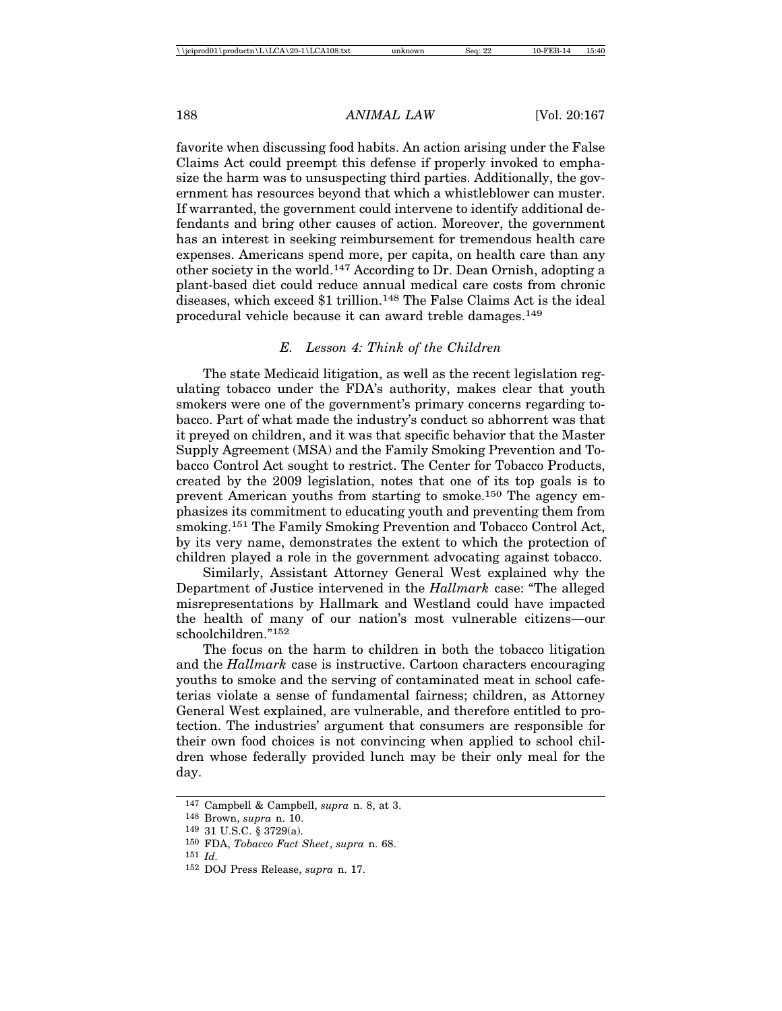favorite when discussing food habits. An action arising under the False Claims Act could preempt this defense if properly invoked to emphasize the harm was to unsuspecting third parties. Additionally, the government has resources beyond that which a whistleblower can muster. If warranted, the government could intervene to identify additional defendants and bring other causes of action. Moreover, the government has an interest in seeking reimbursement for tremendous health care expenses. Americans spend more, per capita, on health care than any other society in the world.147 According to Dr. Dean Ornish, adopting a plant-based diet could reduce annual medical care costs from chronic diseases, which exceed \$1 trillion.148 The False Claims Act is the ideal procedural vehicle because it can award treble damages.149

#### *E. Lesson 4: Think of the Children*

The state Medicaid litigation, as well as the recent legislation regulating tobacco under the FDA's authority, makes clear that youth smokers were one of the government's primary concerns regarding tobacco. Part of what made the industry's conduct so abhorrent was that it preyed on children, and it was that specific behavior that the Master Supply Agreement (MSA) and the Family Smoking Prevention and Tobacco Control Act sought to restrict. The Center for Tobacco Products, created by the 2009 legislation, notes that one of its top goals is to prevent American youths from starting to smoke.150 The agency emphasizes its commitment to educating youth and preventing them from smoking.151 The Family Smoking Prevention and Tobacco Control Act, by its very name, demonstrates the extent to which the protection of children played a role in the government advocating against tobacco.

Similarly, Assistant Attorney General West explained why the Department of Justice intervened in the *Hallmark* case: "The alleged misrepresentations by Hallmark and Westland could have impacted the health of many of our nation's most vulnerable citizens—our schoolchildren."152

The focus on the harm to children in both the tobacco litigation and the *Hallmark* case is instructive. Cartoon characters encouraging youths to smoke and the serving of contaminated meat in school cafeterias violate a sense of fundamental fairness; children, as Attorney General West explained, are vulnerable, and therefore entitled to protection. The industries' argument that consumers are responsible for their own food choices is not convincing when applied to school children whose federally provided lunch may be their only meal for the day.

<sup>147</sup> Campbell & Campbell, *supra* n. 8, at 3.

<sup>148</sup> Brown, *supra* n. 10.

<sup>149</sup> 31 U.S.C. § 3729(a).

<sup>150</sup> FDA, *Tobacco Fact Sheet*, *supra* n. 68.

<sup>151</sup> *Id.*

<sup>152</sup> DOJ Press Release, *supra* n. 17.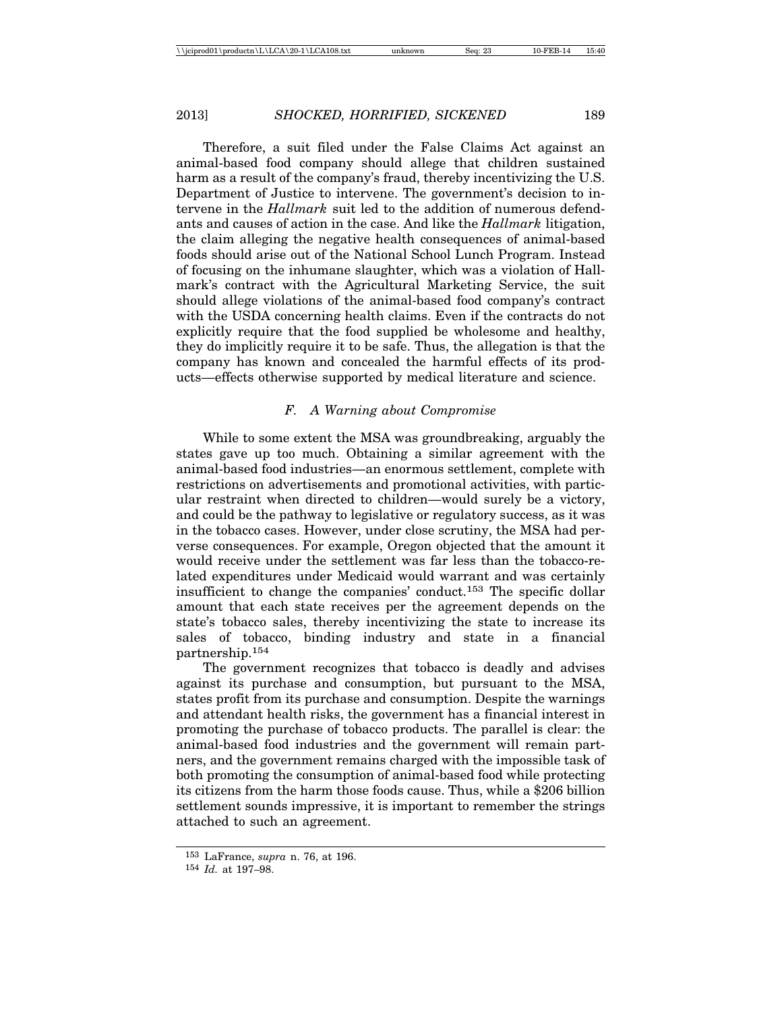Therefore, a suit filed under the False Claims Act against an animal-based food company should allege that children sustained harm as a result of the company's fraud, thereby incentivizing the U.S. Department of Justice to intervene. The government's decision to intervene in the *Hallmark* suit led to the addition of numerous defendants and causes of action in the case. And like the *Hallmark* litigation, the claim alleging the negative health consequences of animal-based foods should arise out of the National School Lunch Program. Instead of focusing on the inhumane slaughter, which was a violation of Hallmark's contract with the Agricultural Marketing Service, the suit should allege violations of the animal-based food company's contract with the USDA concerning health claims. Even if the contracts do not explicitly require that the food supplied be wholesome and healthy, they do implicitly require it to be safe. Thus, the allegation is that the company has known and concealed the harmful effects of its products—effects otherwise supported by medical literature and science.

### *F. A Warning about Compromise*

While to some extent the MSA was groundbreaking, arguably the states gave up too much. Obtaining a similar agreement with the animal-based food industries—an enormous settlement, complete with restrictions on advertisements and promotional activities, with particular restraint when directed to children—would surely be a victory, and could be the pathway to legislative or regulatory success, as it was in the tobacco cases. However, under close scrutiny, the MSA had perverse consequences. For example, Oregon objected that the amount it would receive under the settlement was far less than the tobacco-related expenditures under Medicaid would warrant and was certainly insufficient to change the companies' conduct.153 The specific dollar amount that each state receives per the agreement depends on the state's tobacco sales, thereby incentivizing the state to increase its sales of tobacco, binding industry and state in a financial partnership.154

The government recognizes that tobacco is deadly and advises against its purchase and consumption, but pursuant to the MSA, states profit from its purchase and consumption. Despite the warnings and attendant health risks, the government has a financial interest in promoting the purchase of tobacco products. The parallel is clear: the animal-based food industries and the government will remain partners, and the government remains charged with the impossible task of both promoting the consumption of animal-based food while protecting its citizens from the harm those foods cause. Thus, while a \$206 billion settlement sounds impressive, it is important to remember the strings attached to such an agreement.

<sup>153</sup> LaFrance, *supra* n. 76, at 196.

<sup>154</sup> *Id.* at 197–98.